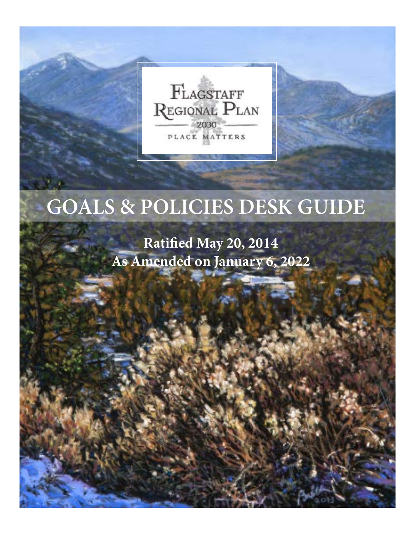FLAGSTAFF REGIONAL PLAN 2030 PLACE MATTERS

# **GOALS & POLICIES DESK GUIDE**

## **Ratified May 20, 2014 As Amended on January 6, 2022**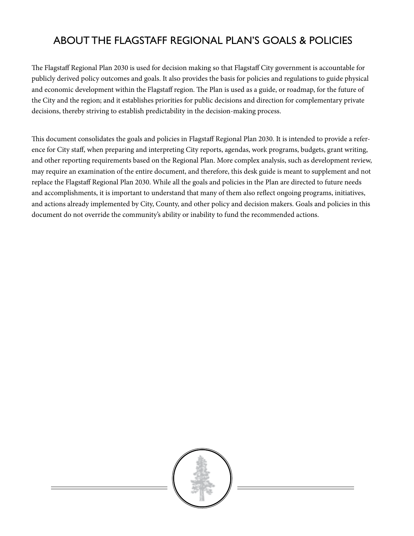### ABOUT THE FLAGSTAFF REGIONAL PLAN'S GOALS & POLICIES

The Flagstaff Regional Plan 2030 is used for decision making so that Flagstaff City government is accountable for publicly derived policy outcomes and goals. It also provides the basis for policies and regulations to guide physical and economic development within the Flagstaff region. The Plan is used as a guide, or roadmap, for the future of the City and the region; and it establishes priorities for public decisions and direction for complementary private decisions, thereby striving to establish predictability in the decision-making process.

This document consolidates the goals and policies in Flagstaff Regional Plan 2030. It is intended to provide a reference for City staff, when preparing and interpreting City reports, agendas, work programs, budgets, grant writing, and other reporting requirements based on the Regional Plan. More complex analysis, such as development review, may require an examination of the entire document, and therefore, this desk guide is meant to supplement and not replace the Flagstaff Regional Plan 2030. While all the goals and policies in the Plan are directed to future needs and accomplishments, it is important to understand that many of them also reflect ongoing programs, initiatives, and actions already implemented by City, County, and other policy and decision makers. Goals and policies in this document do not override the community's ability or inability to fund the recommended actions.

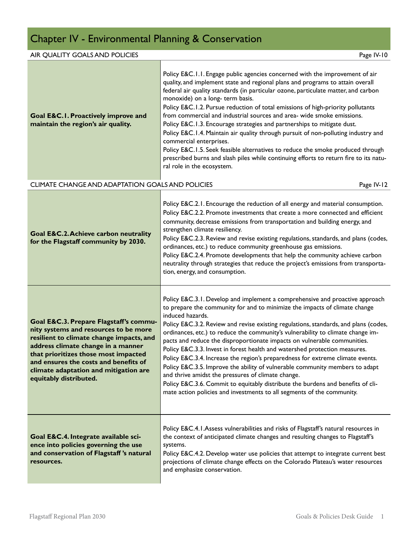## Chapter IV - Environmental Planning & Conservation

#### AIR QUALITY GOALS AND POLICIES **Page IV-10**

| Goal E&C.I. Proactively improve and<br>maintain the region's air quality.                                                                                                                                                                                                                                             | Policy E&C.1.1. Engage public agencies concerned with the improvement of air<br>quality, and implement state and regional plans and programs to attain overall<br>federal air quality standards (in particular ozone, particulate matter, and carbon<br>monoxide) on a long- term basis.<br>Policy E&C.1.2. Pursue reduction of total emissions of high-priority pollutants<br>from commercial and industrial sources and area- wide smoke emissions.<br>Policy E&C.1.3. Encourage strategies and partnerships to mitigate dust.<br>Policy E&C.1.4. Maintain air quality through pursuit of non-polluting industry and<br>commercial enterprises.<br>Policy E&C.1.5. Seek feasible alternatives to reduce the smoke produced through<br>prescribed burns and slash piles while continuing efforts to return fire to its natu-<br>ral role in the ecosystem.                                              |
|-----------------------------------------------------------------------------------------------------------------------------------------------------------------------------------------------------------------------------------------------------------------------------------------------------------------------|----------------------------------------------------------------------------------------------------------------------------------------------------------------------------------------------------------------------------------------------------------------------------------------------------------------------------------------------------------------------------------------------------------------------------------------------------------------------------------------------------------------------------------------------------------------------------------------------------------------------------------------------------------------------------------------------------------------------------------------------------------------------------------------------------------------------------------------------------------------------------------------------------------|
| CLIMATE CHANGE AND ADAPTATION GOALS AND POLICIES                                                                                                                                                                                                                                                                      | Page IV-12                                                                                                                                                                                                                                                                                                                                                                                                                                                                                                                                                                                                                                                                                                                                                                                                                                                                                               |
| <b>Goal E&amp;C.2. Achieve carbon neutrality</b><br>for the Flagstaff community by 2030.                                                                                                                                                                                                                              | Policy E&C.2.1. Encourage the reduction of all energy and material consumption.<br>Policy E&C.2.2. Promote investments that create a more connected and efficient<br>community, decrease emissions from transportation and building energy, and<br>strengthen climate resiliency.<br>Policy E&C.2.3. Review and revise existing regulations, standards, and plans (codes,<br>ordinances, etc.) to reduce community greenhouse gas emissions.<br>Policy E&C.2.4. Promote developments that help the community achieve carbon<br>neutrality through strategies that reduce the project's emissions from transporta-<br>tion, energy, and consumption.                                                                                                                                                                                                                                                      |
| Goal E&C.3. Prepare Flagstaff's commu-<br>nity systems and resources to be more<br>resilient to climate change impacts, and<br>address climate change in a manner<br>that prioritizes those most impacted<br>and ensures the costs and benefits of<br>climate adaptation and mitigation are<br>equitably distributed. | Policy E&C.3.1. Develop and implement a comprehensive and proactive approach<br>to prepare the community for and to minimize the impacts of climate change<br>induced hazards.<br>Policy E&C.3.2. Review and revise existing regulations, standards, and plans (codes,<br>ordinances, etc.) to reduce the community's vulnerability to climate change im-<br>pacts and reduce the disproportionate impacts on vulnerable communities.<br>Policy E&C.3.3. Invest in forest health and watershed protection measures.<br>Policy E&C.3.4. Increase the region's preparedness for extreme climate events.<br>Policy E&C.3.5. Improve the ability of vulnerable community members to adapt<br>and thrive amidst the pressures of climate change.<br>Policy E&C.3.6. Commit to equitably distribute the burdens and benefits of cli-<br>mate action policies and investments to all segments of the community. |
| Goal E&C.4. Integrate available sci-<br>ence into policies governing the use<br>and conservation of Flagstaff's natural<br>resources.                                                                                                                                                                                 | Policy E&C.4.1. Assess vulnerabilities and risks of Flagstaff's natural resources in<br>the context of anticipated climate changes and resulting changes to Flagstaff's<br>systems.<br>Policy E&C.4.2. Develop water use policies that attempt to integrate current best<br>projections of climate change effects on the Colorado Plateau's water resources<br>and emphasize conservation.                                                                                                                                                                                                                                                                                                                                                                                                                                                                                                               |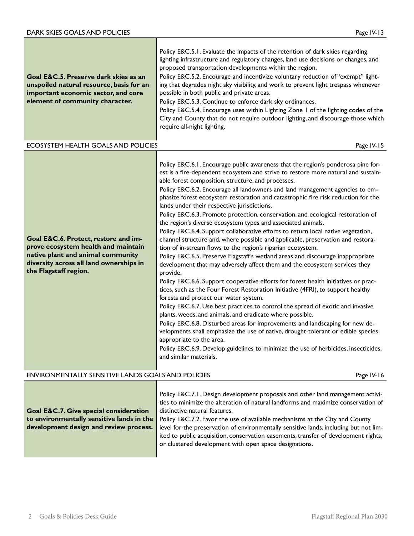| Goal E&C.5. Preserve dark skies as an<br>unspoiled natural resource, basis for an<br>important economic sector, and core<br>element of community character.                          | Policy E&C.5.1. Evaluate the impacts of the retention of dark skies regarding<br>lighting infrastructure and regulatory changes, land use decisions or changes, and<br>proposed transportation developments within the region.<br>Policy E&C.5.2. Encourage and incentivize voluntary reduction of "exempt" light-<br>ing that degrades night sky visibility, and work to prevent light trespass whenever<br>possible in both public and private areas.<br>Policy E&C.5.3. Continue to enforce dark sky ordinances.<br>Policy E&C.5.4. Encourage uses within Lighting Zone I of the lighting codes of the<br>City and County that do not require outdoor lighting, and discourage those which<br>require all-night lighting.                                                                                                                                                                                                                                                                                                                                                                                                                                                                                                                                                                                                                                                                                                                                                                                                                                                                                                                                                                              |
|--------------------------------------------------------------------------------------------------------------------------------------------------------------------------------------|-----------------------------------------------------------------------------------------------------------------------------------------------------------------------------------------------------------------------------------------------------------------------------------------------------------------------------------------------------------------------------------------------------------------------------------------------------------------------------------------------------------------------------------------------------------------------------------------------------------------------------------------------------------------------------------------------------------------------------------------------------------------------------------------------------------------------------------------------------------------------------------------------------------------------------------------------------------------------------------------------------------------------------------------------------------------------------------------------------------------------------------------------------------------------------------------------------------------------------------------------------------------------------------------------------------------------------------------------------------------------------------------------------------------------------------------------------------------------------------------------------------------------------------------------------------------------------------------------------------------------------------------------------------------------------------------------------------|
| ECOSYSTEM HEALTH GOALS AND POLICIES                                                                                                                                                  | Page IV-15                                                                                                                                                                                                                                                                                                                                                                                                                                                                                                                                                                                                                                                                                                                                                                                                                                                                                                                                                                                                                                                                                                                                                                                                                                                                                                                                                                                                                                                                                                                                                                                                                                                                                                |
| Goal E&C.6. Protect, restore and im-<br>prove ecosystem health and maintain<br>native plant and animal community<br>diversity across all land ownerships in<br>the Flagstaff region. | Policy E&C.6.1. Encourage public awareness that the region's ponderosa pine for-<br>est is a fire-dependent ecosystem and strive to restore more natural and sustain-<br>able forest composition, structure, and processes.<br>Policy E&C.6.2. Encourage all landowners and land management agencies to em-<br>phasize forest ecosystem restoration and catastrophic fire risk reduction for the<br>lands under their respective jurisdictions.<br>Policy E&C.6.3. Promote protection, conservation, and ecological restoration of<br>the region's diverse ecosystem types and associated animals.<br>Policy E&C.6.4. Support collaborative efforts to return local native vegetation,<br>channel structure and, where possible and applicable, preservation and restora-<br>tion of in-stream flows to the region's riparian ecosystem.<br>Policy E&C.6.5. Preserve Flagstaff's wetland areas and discourage inappropriate<br>development that may adversely affect them and the ecosystem services they<br>provide.<br>Policy E&C.6.6. Support cooperative efforts for forest health initiatives or prac-<br>tices, such as the Four Forest Restoration Initiative (4FRI), to support healthy<br>forests and protect our water system.<br>Policy E&C.6.7. Use best practices to control the spread of exotic and invasive<br>plants, weeds, and animals, and eradicate where possible.<br>Policy E&C.6.8. Disturbed areas for improvements and landscaping for new de-<br>velopments shall emphasize the use of native, drought-tolerant or edible species<br>appropriate to the area.<br>Policy E&C.6.9. Develop guidelines to minimize the use of herbicides, insecticides,<br>and similar materials. |
| <b>ENVIRONMENTALLY SENSITIVE LANDS GOALS AND POLICIES</b>                                                                                                                            | Page IV-16                                                                                                                                                                                                                                                                                                                                                                                                                                                                                                                                                                                                                                                                                                                                                                                                                                                                                                                                                                                                                                                                                                                                                                                                                                                                                                                                                                                                                                                                                                                                                                                                                                                                                                |
|                                                                                                                                                                                      | Policy E&C.7.1. Design development proposals and other land management activi-                                                                                                                                                                                                                                                                                                                                                                                                                                                                                                                                                                                                                                                                                                                                                                                                                                                                                                                                                                                                                                                                                                                                                                                                                                                                                                                                                                                                                                                                                                                                                                                                                            |

**Goal E&C.7. Give special consideration to environmentally sensitive lands in the development design and review process.** ties to minimize the alteration of natural landforms and maximize conservation of distinctive natural features. Policy E&C.7.2. Favor the use of available mechanisms at the City and County level for the preservation of environmentally sensitive lands, including but not limited to public acquisition, conservation easements, transfer of development rights, or clustered development with open space designations.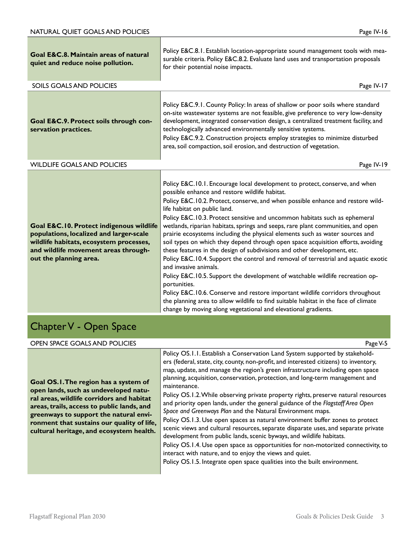| Goal E&C.8. Maintain areas of natural<br>quiet and reduce noise pollution.                                                                                                                       | Policy E&C.8.1. Establish location-appropriate sound management tools with mea-<br>surable criteria. Policy E&C.8.2. Evaluate land uses and transportation proposals<br>for their potential noise impacts.                                                                                                                                                                                                                                                                                                                                                                                                                                                                                                                                                                                                                                                                                                                                                                                                                                                                                                                   |
|--------------------------------------------------------------------------------------------------------------------------------------------------------------------------------------------------|------------------------------------------------------------------------------------------------------------------------------------------------------------------------------------------------------------------------------------------------------------------------------------------------------------------------------------------------------------------------------------------------------------------------------------------------------------------------------------------------------------------------------------------------------------------------------------------------------------------------------------------------------------------------------------------------------------------------------------------------------------------------------------------------------------------------------------------------------------------------------------------------------------------------------------------------------------------------------------------------------------------------------------------------------------------------------------------------------------------------------|
| SOILS GOALS AND POLICIES                                                                                                                                                                         | Page IV-17                                                                                                                                                                                                                                                                                                                                                                                                                                                                                                                                                                                                                                                                                                                                                                                                                                                                                                                                                                                                                                                                                                                   |
| Goal E&C.9. Protect soils through con-<br>servation practices.                                                                                                                                   | Policy E&C.9.1. County Policy: In areas of shallow or poor soils where standard<br>on-site wastewater systems are not feasible, give preference to very low-density<br>development, integrated conservation design, a centralized treatment facility, and<br>technologically advanced environmentally sensitive systems.<br>Policy E&C.9.2. Construction projects employ strategies to minimize disturbed<br>area, soil compaction, soil erosion, and destruction of vegetation.                                                                                                                                                                                                                                                                                                                                                                                                                                                                                                                                                                                                                                             |
| <b>WILDLIFE GOALS AND POLICIES</b>                                                                                                                                                               | Page IV-19                                                                                                                                                                                                                                                                                                                                                                                                                                                                                                                                                                                                                                                                                                                                                                                                                                                                                                                                                                                                                                                                                                                   |
| Goal E&C.10. Protect indigenous wildlife<br>populations, localized and larger-scale<br>wildlife habitats, ecosystem processes,<br>and wildlife movement areas through-<br>out the planning area. | Policy E&C.10.1. Encourage local development to protect, conserve, and when<br>possible enhance and restore wildlife habitat.<br>Policy E&C.10.2. Protect, conserve, and when possible enhance and restore wild-<br>life habitat on public land.<br>Policy E&C.10.3. Protect sensitive and uncommon habitats such as ephemeral<br>wetlands, riparian habitats, springs and seeps, rare plant communities, and open<br>prairie ecosystems including the physical elements such as water sources and<br>soil types on which they depend through open space acquisition efforts, avoiding<br>these features in the design of subdivisions and other development, etc.<br>Policy E&C.10.4. Support the control and removal of terrestrial and aquatic exotic<br>and invasive animals.<br>Policy E&C.10.5. Support the development of watchable wildlife recreation op-<br>portunities.<br>Policy E&C.10.6. Conserve and restore important wildlife corridors throughout<br>the planning area to allow wildlife to find suitable habitat in the face of climate<br>change by moving along vegetational and elevational gradients. |

### Chapter V - Open Space

#### OPEN SPACE GOALS AND POLICIES **Page V-5**

**Goal OS.1. The region has a system of open lands, such as undeveloped natural areas, wildlife corridors and habitat areas, trails, access to public lands, and greenways to support the natural environment that sustains our quality of life, cultural heritage, and ecosystem health.**

Policy OS.1.1. Establish a Conservation Land System supported by stakeholders (federal, state, city, county, non-profit, and interested citizens) to inventory, map, update, and manage the region's green infrastructure including open space planning, acquisition, conservation, protection, and long-term management and maintenance.

Policy OS.1.2. While observing private property rights, preserve natural resources and priority open lands, under the general guidance of the *Flagstaff Area Open Space and Greenways Plan* and the Natural Environment maps.

Policy OS.1.3. Use open spaces as natural environment buffer zones to protect scenic views and cultural resources, separate disparate uses, and separate private development from public lands, scenic byways, and wildlife habitats.

Policy OS.1.4. Use open space as opportunities for non-motorized connectivity, to interact with nature, and to enjoy the views and quiet.

Policy OS.1.5. Integrate open space qualities into the built environment.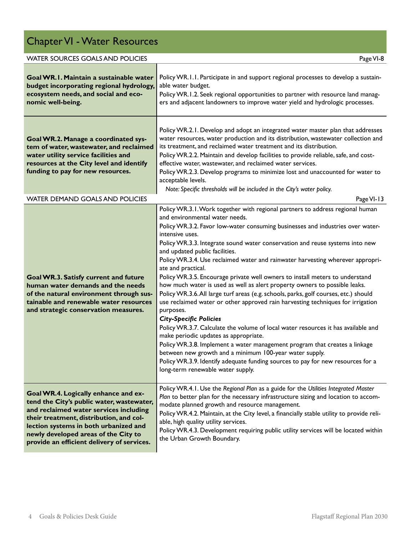## Chapter VI - Water Resources

| <b>WATER SOURCES GOALS AND POLICIES</b><br>Page VI-8                                                                                                                                                                                                                                                  |                                                                                                                                                                                                                                                                                                                                                                                                                                                                                                                                                                                                                                                                                                                                                                                                                                                                                                                                                                                                                                                                                                                                                                                                                                      |
|-------------------------------------------------------------------------------------------------------------------------------------------------------------------------------------------------------------------------------------------------------------------------------------------------------|--------------------------------------------------------------------------------------------------------------------------------------------------------------------------------------------------------------------------------------------------------------------------------------------------------------------------------------------------------------------------------------------------------------------------------------------------------------------------------------------------------------------------------------------------------------------------------------------------------------------------------------------------------------------------------------------------------------------------------------------------------------------------------------------------------------------------------------------------------------------------------------------------------------------------------------------------------------------------------------------------------------------------------------------------------------------------------------------------------------------------------------------------------------------------------------------------------------------------------------|
| Goal WR.I. Maintain a sustainable water<br>budget incorporating regional hydrology,<br>ecosystem needs, and social and eco-<br>nomic well-being.                                                                                                                                                      | Policy WR.1.1. Participate in and support regional processes to develop a sustain-<br>able water budget.<br>Policy WR.1.2. Seek regional opportunities to partner with resource land manag-<br>ers and adjacent landowners to improve water yield and hydrologic processes.                                                                                                                                                                                                                                                                                                                                                                                                                                                                                                                                                                                                                                                                                                                                                                                                                                                                                                                                                          |
| Goal WR.2. Manage a coordinated sys-<br>tem of water, wastewater, and reclaimed<br>water utility service facilities and<br>resources at the City level and identify<br>funding to pay for new resources.                                                                                              | Policy WR.2.1. Develop and adopt an integrated water master plan that addresses<br>water resources, water production and its distribution, wastewater collection and<br>its treatment, and reclaimed water treatment and its distribution.<br>Policy WR.2.2. Maintain and develop facilities to provide reliable, safe, and cost-<br>effective water, wastewater, and reclaimed water services.<br>Policy WR.2.3. Develop programs to minimize lost and unaccounted for water to<br>acceptable levels.<br>Note: Specific thresholds will be included in the City's water policy.                                                                                                                                                                                                                                                                                                                                                                                                                                                                                                                                                                                                                                                     |
| <b>WATER DEMAND GOALS AND POLICIES</b>                                                                                                                                                                                                                                                                | Page VI-13                                                                                                                                                                                                                                                                                                                                                                                                                                                                                                                                                                                                                                                                                                                                                                                                                                                                                                                                                                                                                                                                                                                                                                                                                           |
| Goal WR.3. Satisfy current and future<br>human water demands and the needs<br>of the natural environment through sus-<br>tainable and renewable water resources<br>and strategic conservation measures.                                                                                               | Policy WR.3.1. Work together with regional partners to address regional human<br>and environmental water needs.<br>Policy WR.3.2. Favor low-water consuming businesses and industries over water-<br>intensive uses.<br>Policy WR.3.3. Integrate sound water conservation and reuse systems into new<br>and updated public facilities.<br>Policy WR.3.4. Use reclaimed water and rainwater harvesting wherever appropri-<br>ate and practical.<br>Policy WR.3.5. Encourage private well owners to install meters to understand<br>how much water is used as well as alert property owners to possible leaks.<br>Policy WR.3.6. All large turf areas (e.g. schools, parks, golf courses, etc.) should<br>use reclaimed water or other approved rain harvesting techniques for irrigation<br>purposes.<br><b>City-Specific Policies</b><br>Policy WR.3.7. Calculate the volume of local water resources it has available and<br>make periodic updates as appropriate.<br>Policy WR.3.8. Implement a water management program that creates a linkage<br>between new growth and a minimum 100-year water supply.<br>Policy WR.3.9. Identify adequate funding sources to pay for new resources for a<br>long-term renewable water supply. |
| Goal WR.4. Logically enhance and ex-<br>tend the City's public water, wastewater,<br>and reclaimed water services including<br>their treatment, distribution, and col-<br>lection systems in both urbanized and<br>newly developed areas of the City to<br>provide an efficient delivery of services. | Policy WR.4.1. Use the Regional Plan as a guide for the Utilities Integrated Master<br>Plan to better plan for the necessary infrastructure sizing and location to accom-<br>modate planned growth and resource management.<br>Policy WR.4.2. Maintain, at the City level, a financially stable utility to provide reli-<br>able, high quality utility services.<br>Policy WR.4.3. Development requiring public utility services will be located within<br>the Urban Growth Boundary.                                                                                                                                                                                                                                                                                                                                                                                                                                                                                                                                                                                                                                                                                                                                                |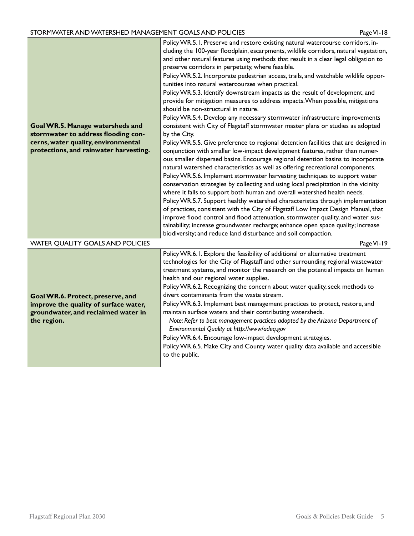#### STORMWATER AND WATERSHED MANAGEMENT GOALS AND POLICIES PAGE AND RESERVE Page VI-18

| Goal WR.5. Manage watersheds and<br>stormwater to address flooding con-<br>cerns, water quality, environmental<br>protections, and rainwater harvesting. | Policy WR.5.1. Preserve and restore existing natural watercourse corridors, in-<br>cluding the 100-year floodplain, escarpments, wildlife corridors, natural vegetation,<br>and other natural features using methods that result in a clear legal obligation to<br>preserve corridors in perpetuity, where feasible.<br>Policy WR.5.2. Incorporate pedestrian access, trails, and watchable wildlife oppor-<br>tunities into natural watercourses when practical.<br>Policy WR.5.3. Identify downstream impacts as the result of development, and<br>provide for mitigation measures to address impacts. When possible, mitigations<br>should be non-structural in nature.<br>Policy WR.5.4. Develop any necessary stormwater infrastructure improvements<br>consistent with City of Flagstaff stormwater master plans or studies as adopted<br>by the City.<br>Policy WR.5.5. Give preference to regional detention facilities that are designed in<br>conjunction with smaller low-impact development features, rather than numer-<br>ous smaller dispersed basins. Encourage regional detention basins to incorporate<br>natural watershed characteristics as well as offering recreational components.<br>Policy WR.5.6. Implement stormwater harvesting techniques to support water<br>conservation strategies by collecting and using local precipitation in the vicinity<br>where it falls to support both human and overall watershed health needs.<br>Policy WR.5.7. Support healthy watershed characteristics through implementation<br>of practices, consistent with the City of Flagstaff Low Impact Design Manual, that<br>improve flood control and flood attenuation, stormwater quality, and water sus-<br>tainability; increase groundwater recharge; enhance open space quality; increase<br>biodiversity; and reduce land disturbance and soil compaction. |
|----------------------------------------------------------------------------------------------------------------------------------------------------------|-------------------------------------------------------------------------------------------------------------------------------------------------------------------------------------------------------------------------------------------------------------------------------------------------------------------------------------------------------------------------------------------------------------------------------------------------------------------------------------------------------------------------------------------------------------------------------------------------------------------------------------------------------------------------------------------------------------------------------------------------------------------------------------------------------------------------------------------------------------------------------------------------------------------------------------------------------------------------------------------------------------------------------------------------------------------------------------------------------------------------------------------------------------------------------------------------------------------------------------------------------------------------------------------------------------------------------------------------------------------------------------------------------------------------------------------------------------------------------------------------------------------------------------------------------------------------------------------------------------------------------------------------------------------------------------------------------------------------------------------------------------------------------------------------------------------------------------------------------------------------------|
| WATER QUALITY GOALS AND POLICIES                                                                                                                         | Page VI-19                                                                                                                                                                                                                                                                                                                                                                                                                                                                                                                                                                                                                                                                                                                                                                                                                                                                                                                                                                                                                                                                                                                                                                                                                                                                                                                                                                                                                                                                                                                                                                                                                                                                                                                                                                                                                                                                    |
| Goal WR.6. Protect, preserve, and<br>improve the quality of surface water,<br>groundwater, and reclaimed water in<br>the region.                         | Policy WR.6.1. Explore the feasibility of additional or alternative treatment<br>technologies for the City of Flagstaff and other surrounding regional wastewater<br>treatment systems, and monitor the research on the potential impacts on human<br>health and our regional water supplies.<br>Policy WR.6.2. Recognizing the concern about water quality, seek methods to<br>divert contaminants from the waste stream.<br>Policy WR.6.3. Implement best management practices to protect, restore, and<br>maintain surface waters and their contributing watersheds.<br>Note: Refer to best management practices adopted by the Arizona Department of<br>Environmental Quality at http://www/adeq.gov<br>Policy WR.6.4. Encourage low-impact development strategies.<br>Policy WR.6.5. Make City and County water quality data available and accessible<br>to the public.                                                                                                                                                                                                                                                                                                                                                                                                                                                                                                                                                                                                                                                                                                                                                                                                                                                                                                                                                                                                  |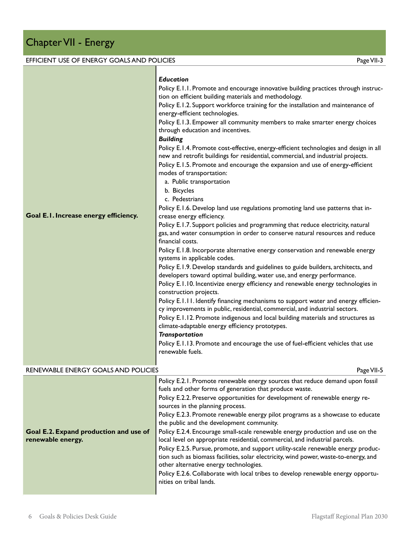#### EFFICIENT USE OF ENERGY GOALS AND POLICIES Page VII-3 **Goal E.1. Increase energy efficiency.** *Education* Policy E.1.1. Promote and encourage innovative building practices through instruction on efficient building materials and methodology. Policy E.1.2. Support workforce training for the installation and maintenance of energy-efficient technologies. Policy E.1.3. Empower all community members to make smarter energy choices through education and incentives. *Building* Policy E.1.4. Promote cost-effective, energy-efficient technologies and design in all new and retrofit buildings for residential, commercial, and industrial projects. Policy E.1.5. Promote and encourage the expansion and use of energy-efficient modes of transportation: a. Public transportation b. Bicycles c. Pedestrians Policy E.1.6. Develop land use regulations promoting land use patterns that increase energy efficiency. Policy E.1.7. Support policies and programming that reduce electricity, natural gas, and water consumption in order to conserve natural resources and reduce financial costs. Policy E.1.8. Incorporate alternative energy conservation and renewable energy systems in applicable codes. Policy E.1.9. Develop standards and guidelines to guide builders, architects, and developers toward optimal building, water use, and energy performance. Policy E.1.10. Incentivize energy efficiency and renewable energy technologies in construction projects. Policy E.1.11. Identify financing mechanisms to support water and energy efficiency improvements in public, residential, commercial, and industrial sectors. Policy E.1.12. Promote indigenous and local building materials and structures as climate-adaptable energy efficiency prototypes. *Transportation* Policy E.1.13. Promote and encourage the use of fuel-efficient vehicles that use renewable fuels. RENEWABLE ENERGY GOALS AND POLICIES AND RESOLUTION CONTROL CONTROL INTERNATIONAL PAGE VII-5 **Goal E.2. Expand production and use of renewable energy.** Policy E.2.1. Promote renewable energy sources that reduce demand upon fossil fuels and other forms of generation that produce waste. Policy E.2.2. Preserve opportunities for development of renewable energy resources in the planning process. Policy E.2.3. Promote renewable energy pilot programs as a showcase to educate the public and the development community. Policy E.2.4. Encourage small-scale renewable energy production and use on the local level on appropriate residential, commercial, and industrial parcels. Policy E.2.5. Pursue, promote, and support utility-scale renewable energy produc-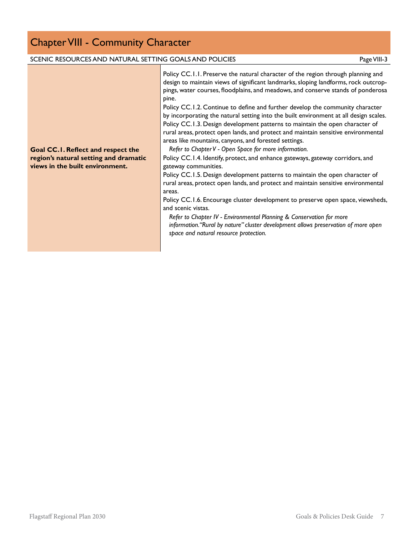### Chapter VIII - Community Character

#### SCENIC RESOURCES AND NATURAL SETTING GOALS AND POLICIES **For a struck of the COALS AND POLICIES** Page VIII-3

Policy CC.1.1. Preserve the natural character of the region through planning and design to maintain views of significant landmarks, sloping landforms, rock outcroppings, water courses, floodplains, and meadows, and conserve stands of ponderosa pine.

Policy CC.1.2. Continue to define and further develop the community character by incorporating the natural setting into the built environment at all design scales. Policy CC.1.3. Design development patterns to maintain the open character of rural areas, protect open lands, and protect and maintain sensitive environmental areas like mountains, canyons, and forested settings.

*Refer to Chapter V - Open Space for more information.*

Policy CC.1.4. Identify, protect, and enhance gateways, gateway corridors, and gateway communities.

Policy CC.1.5. Design development patterns to maintain the open character of rural areas, protect open lands, and protect and maintain sensitive environmental areas.

Policy CC.1.6. Encourage cluster development to preserve open space, viewsheds, and scenic vistas.

*Refer to Chapter IV - Environmental Planning & Conservation for more information."Rural by nature" cluster development allows preservation of more open space and natural resource protection.*

#### **Goal CC.1. Reflect and respect the region's natural setting and dramatic views in the built environment.**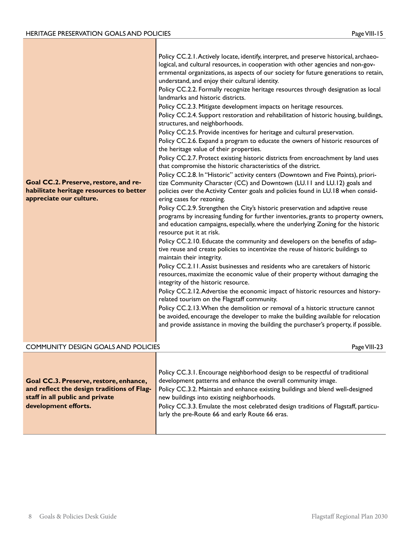ı

| Goal CC.2. Preserve, restore, and re-<br>habilitate heritage resources to better<br>appreciate our culture.                                     | Policy CC.2.1. Actively locate, identify, interpret, and preserve historical, archaeo-<br>logical, and cultural resources, in cooperation with other agencies and non-gov-<br>ernmental organizations, as aspects of our society for future generations to retain,<br>understand, and enjoy their cultural identity.<br>Policy CC.2.2. Formally recognize heritage resources through designation as local<br>landmarks and historic districts.<br>Policy CC.2.3. Mitigate development impacts on heritage resources.<br>Policy CC.2.4. Support restoration and rehabilitation of historic housing, buildings,<br>structures, and neighborhoods.<br>Policy CC.2.5. Provide incentives for heritage and cultural preservation.<br>Policy CC.2.6. Expand a program to educate the owners of historic resources of<br>the heritage value of their properties.<br>Policy CC.2.7. Protect existing historic districts from encroachment by land uses<br>that compromise the historic characteristics of the district.<br>Policy CC.2.8. In "Historic" activity centers (Downtown and Five Points), priori-<br>tize Community Character (CC) and Downtown (LU.11 and LU.12) goals and<br>policies over the Activity Center goals and policies found in LU.18 when consid-<br>ering cases for rezoning.<br>Policy CC.2.9. Strengthen the City's historic preservation and adaptive reuse<br>programs by increasing funding for further inventories, grants to property owners,<br>and education campaigns, especially, where the underlying Zoning for the historic<br>resource put it at risk.<br>Policy CC.2.10. Educate the community and developers on the benefits of adap-<br>tive reuse and create policies to incentivize the reuse of historic buildings to<br>maintain their integrity.<br>Policy CC.2.11. Assist businesses and residents who are caretakers of historic<br>resources, maximize the economic value of their property without damaging the<br>integrity of the historic resource.<br>Policy CC.2.12. Advertise the economic impact of historic resources and history-<br>related tourism on the Flagstaff community.<br>Policy CC.2.13. When the demolition or removal of a historic structure cannot<br>be avoided, encourage the developer to make the building available for relocation<br>and provide assistance in moving the building the purchaser's property, if possible. |
|-------------------------------------------------------------------------------------------------------------------------------------------------|------------------------------------------------------------------------------------------------------------------------------------------------------------------------------------------------------------------------------------------------------------------------------------------------------------------------------------------------------------------------------------------------------------------------------------------------------------------------------------------------------------------------------------------------------------------------------------------------------------------------------------------------------------------------------------------------------------------------------------------------------------------------------------------------------------------------------------------------------------------------------------------------------------------------------------------------------------------------------------------------------------------------------------------------------------------------------------------------------------------------------------------------------------------------------------------------------------------------------------------------------------------------------------------------------------------------------------------------------------------------------------------------------------------------------------------------------------------------------------------------------------------------------------------------------------------------------------------------------------------------------------------------------------------------------------------------------------------------------------------------------------------------------------------------------------------------------------------------------------------------------------------------------------------------------------------------------------------------------------------------------------------------------------------------------------------------------------------------------------------------------------------------------------------------------------------------------------------------------------------------------------------------------------------------------------------------------------------------------------------------------------------------------|
| <b>COMMUNITY DESIGN GOALS AND POLICIES</b>                                                                                                      | Page VIII-23                                                                                                                                                                                                                                                                                                                                                                                                                                                                                                                                                                                                                                                                                                                                                                                                                                                                                                                                                                                                                                                                                                                                                                                                                                                                                                                                                                                                                                                                                                                                                                                                                                                                                                                                                                                                                                                                                                                                                                                                                                                                                                                                                                                                                                                                                                                                                                                         |
| Goal CC.3. Preserve, restore, enhance,<br>and reflect the design traditions of Flag-<br>staff in all public and private<br>development efforts. | Policy CC.3.1. Encourage neighborhood design to be respectful of traditional<br>development patterns and enhance the overall community image.<br>Policy CC.3.2. Maintain and enhance existing buildings and blend well-designed<br>new buildings into existing neighborhoods.<br>Policy CC.3.3. Emulate the most celebrated design traditions of Flagstaff, particu-<br>larly the pre-Route 66 and early Route 66 eras.                                                                                                                                                                                                                                                                                                                                                                                                                                                                                                                                                                                                                                                                                                                                                                                                                                                                                                                                                                                                                                                                                                                                                                                                                                                                                                                                                                                                                                                                                                                                                                                                                                                                                                                                                                                                                                                                                                                                                                              |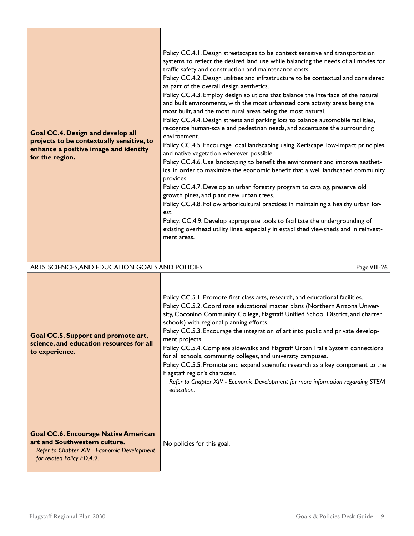| <b>Goal CC.4. Design and develop all</b><br>projects to be contextually sensitive, to<br>enhance a positive image and identity<br>for the region.         | Policy CC.4.1. Design streetscapes to be context sensitive and transportation<br>systems to reflect the desired land use while balancing the needs of all modes for<br>traffic safety and construction and maintenance costs.<br>Policy CC.4.2. Design utilities and infrastructure to be contextual and considered<br>as part of the overall design aesthetics.<br>Policy CC.4.3. Employ design solutions that balance the interface of the natural<br>and built environments, with the most urbanized core activity areas being the<br>most built, and the most rural areas being the most natural.<br>Policy CC.4.4. Design streets and parking lots to balance automobile facilities,<br>recognize human-scale and pedestrian needs, and accentuate the surrounding<br>environment.<br>Policy CC.4.5. Encourage local landscaping using Xeriscape, low-impact principles,<br>and native vegetation wherever possible.<br>Policy CC.4.6. Use landscaping to benefit the environment and improve aesthet-<br>ics, in order to maximize the economic benefit that a well landscaped community<br>provides.<br>Policy CC.4.7. Develop an urban forestry program to catalog, preserve old<br>growth pines, and plant new urban trees.<br>Policy CC.4.8. Follow arboricultural practices in maintaining a healthy urban for-<br>est.<br>Policy: CC.4.9. Develop appropriate tools to facilitate the undergrounding of<br>existing overhead utility lines, especially in established viewsheds and in reinvest-<br>ment areas. |
|-----------------------------------------------------------------------------------------------------------------------------------------------------------|-----------------------------------------------------------------------------------------------------------------------------------------------------------------------------------------------------------------------------------------------------------------------------------------------------------------------------------------------------------------------------------------------------------------------------------------------------------------------------------------------------------------------------------------------------------------------------------------------------------------------------------------------------------------------------------------------------------------------------------------------------------------------------------------------------------------------------------------------------------------------------------------------------------------------------------------------------------------------------------------------------------------------------------------------------------------------------------------------------------------------------------------------------------------------------------------------------------------------------------------------------------------------------------------------------------------------------------------------------------------------------------------------------------------------------------------------------------------------------------------------------------------------------|
| ARTS, SCIENCES, AND EDUCATION GOALS AND POLICIES                                                                                                          | Page VIII-26                                                                                                                                                                                                                                                                                                                                                                                                                                                                                                                                                                                                                                                                                                                                                                                                                                                                                                                                                                                                                                                                                                                                                                                                                                                                                                                                                                                                                                                                                                                |
| Goal CC.5. Support and promote art,<br>science, and education resources for all<br>to experience.                                                         | Policy CC.5.1. Promote first class arts, research, and educational facilities.<br>Policy CC.5.2. Coordinate educational master plans (Northern Arizona Univer-<br>sity, Coconino Community College, Flagstaff Unified School District, and charter<br>schools) with regional planning efforts.<br>Policy CC.5.3. Encourage the integration of art into public and private develop-<br>ment projects.<br>Policy CC.5.4. Complete sidewalks and Flagstaff Urban Trails System connections<br>for all schools, community colleges, and university campuses.<br>Policy CC.5.5. Promote and expand scientific research as a key component to the<br>Flagstaff region's character.<br>Refer to Chapter XIV - Economic Development for more information regarding STEM<br>education.                                                                                                                                                                                                                                                                                                                                                                                                                                                                                                                                                                                                                                                                                                                                               |
| <b>Goal CC.6. Encourage Native American</b><br>art and Southwestern culture.<br>Refer to Chapter XIV - Economic Development<br>for related Policy ED.4.9. | No policies for this goal.                                                                                                                                                                                                                                                                                                                                                                                                                                                                                                                                                                                                                                                                                                                                                                                                                                                                                                                                                                                                                                                                                                                                                                                                                                                                                                                                                                                                                                                                                                  |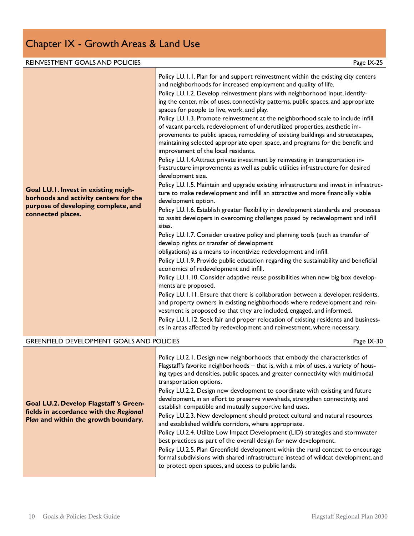### Chapter IX - Growth Areas & Land Use

#### REINVESTMENT GOALS AND POLICIES **Example 20 and 20 and 20 and 20 and 20 and 20 and 20 and 20 and 20 and 20 and 20 and 20 and 20 and 20 and 20 and 20 and 20 and 20 and 20 and 20 and 20 and 20 and 20 and 20 and 20 and 20 and**

| Goal LU.I. Invest in existing neigh-<br>borhoods and activity centers for the<br>purpose of developing complete, and<br>connected places.<br><b>GREENFIELD DEVELOPMENT GOALS AND POLICIES</b> | Policy LU.1.1. Plan for and support reinvestment within the existing city centers<br>and neighborhoods for increased employment and quality of life.<br>Policy LU.1.2. Develop reinvestment plans with neighborhood input, identify-<br>ing the center, mix of uses, connectivity patterns, public spaces, and appropriate<br>spaces for people to live, work, and play.<br>Policy LU.1.3. Promote reinvestment at the neighborhood scale to include infill<br>of vacant parcels, redevelopment of underutilized properties, aesthetic im-<br>provements to public spaces, remodeling of existing buildings and streetscapes,<br>maintaining selected appropriate open space, and programs for the benefit and<br>improvement of the local residents.<br>Policy LU.1.4. Attract private investment by reinvesting in transportation in-<br>frastructure improvements as well as public utilities infrastructure for desired<br>development size.<br>Policy LU.1.5. Maintain and upgrade existing infrastructure and invest in infrastruc-<br>ture to make redevelopment and infill an attractive and more financially viable<br>development option.<br>Policy LU.1.6. Establish greater flexibility in development standards and processes<br>to assist developers in overcoming challenges posed by redevelopment and infill<br>sites.<br>Policy LU.1.7. Consider creative policy and planning tools (such as transfer of<br>develop rights or transfer of development<br>obligations) as a means to incentivize redevelopment and infill.<br>Policy LU.1.9. Provide public education regarding the sustainability and beneficial<br>economics of redevelopment and infill.<br>Policy LU.1.10. Consider adaptive reuse possibilities when new big box develop-<br>ments are proposed.<br>Policy LU.1.11. Ensure that there is collaboration between a developer, residents,<br>and property owners in existing neighborhoods where redevelopment and rein-<br>vestment is proposed so that they are included, engaged, and informed.<br>Policy LU.1.12. Seek fair and proper relocation of existing residents and business-<br>es in areas affected by redevelopment and reinvestment, where necessary. |
|-----------------------------------------------------------------------------------------------------------------------------------------------------------------------------------------------|----------------------------------------------------------------------------------------------------------------------------------------------------------------------------------------------------------------------------------------------------------------------------------------------------------------------------------------------------------------------------------------------------------------------------------------------------------------------------------------------------------------------------------------------------------------------------------------------------------------------------------------------------------------------------------------------------------------------------------------------------------------------------------------------------------------------------------------------------------------------------------------------------------------------------------------------------------------------------------------------------------------------------------------------------------------------------------------------------------------------------------------------------------------------------------------------------------------------------------------------------------------------------------------------------------------------------------------------------------------------------------------------------------------------------------------------------------------------------------------------------------------------------------------------------------------------------------------------------------------------------------------------------------------------------------------------------------------------------------------------------------------------------------------------------------------------------------------------------------------------------------------------------------------------------------------------------------------------------------------------------------------------------------------------------------------------------------------------------------------------------------------------------------------------------------------------------------|
|                                                                                                                                                                                               | Page IX-30                                                                                                                                                                                                                                                                                                                                                                                                                                                                                                                                                                                                                                                                                                                                                                                                                                                                                                                                                                                                                                                                                                                                                                                                                                                                                                                                                                                                                                                                                                                                                                                                                                                                                                                                                                                                                                                                                                                                                                                                                                                                                                                                                                                               |
|                                                                                                                                                                                               | Policy LU.2.1. Design new neighborhoods that embody the characteristics of<br>Flagstaff's favorite neighborhoods - that is, with a mix of uses, a variety of hous-                                                                                                                                                                                                                                                                                                                                                                                                                                                                                                                                                                                                                                                                                                                                                                                                                                                                                                                                                                                                                                                                                                                                                                                                                                                                                                                                                                                                                                                                                                                                                                                                                                                                                                                                                                                                                                                                                                                                                                                                                                       |

**Goal LU.2. Develop Flagstaff 's Greenfields in accordance with the** *Regional Plan* **and within the growth boundary.**

ing types and densities, public spaces, and greater connectivity with multimodal transportation options. Policy LU.2.2. Design new development to coordinate with existing and future development, in an effort to preserve viewsheds, strengthen connectivity, and establish compatible and mutually supportive land uses. Policy LU.2.3. New development should protect cultural and natural resources and established wildlife corridors, where appropriate.

Policy LU.2.4. Utilize Low Impact Development (LID) strategies and stormwater best practices as part of the overall design for new development.

Policy LU.2.5. Plan Greenfield development within the rural context to encourage formal subdivisions with shared infrastructure instead of wildcat development, and to protect open spaces, and access to public lands.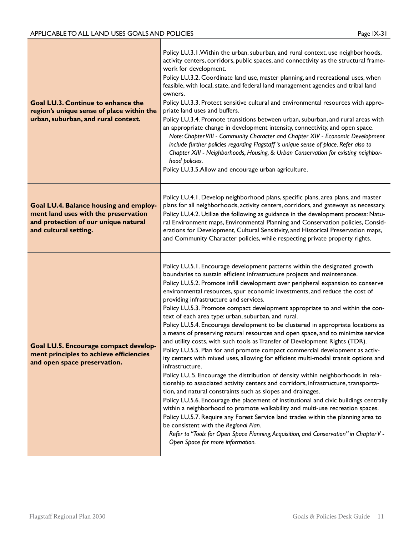| <b>Goal LU.3. Continue to enhance the</b><br>region's unique sense of place within the<br>urban, suburban, and rural context.                   | Policy LU.3.1. Within the urban, suburban, and rural context, use neighborhoods,<br>activity centers, corridors, public spaces, and connectivity as the structural frame-<br>work for development.<br>Policy LU.3.2. Coordinate land use, master planning, and recreational uses, when<br>feasible, with local, state, and federal land management agencies and tribal land<br>owners.<br>Policy LU.3.3. Protect sensitive cultural and environmental resources with appro-<br>priate land uses and buffers.<br>Policy LU.3.4. Promote transitions between urban, suburban, and rural areas with<br>an appropriate change in development intensity, connectivity, and open space.<br>Note: Chapter VIII - Community Character and Chapter XIV - Economic Development<br>include further policies regarding Flagstaff's unique sense of place. Refer also to<br>Chapter XIII - Neighborhoods, Housing, & Urban Conservation for existing neighbor-<br>hood policies.<br>Policy LU.3.5.Allow and encourage urban agriculture.                                                                                                                                                                                                                                                                                                                                                                                                                                                                                                                                                                                                             |
|-------------------------------------------------------------------------------------------------------------------------------------------------|-----------------------------------------------------------------------------------------------------------------------------------------------------------------------------------------------------------------------------------------------------------------------------------------------------------------------------------------------------------------------------------------------------------------------------------------------------------------------------------------------------------------------------------------------------------------------------------------------------------------------------------------------------------------------------------------------------------------------------------------------------------------------------------------------------------------------------------------------------------------------------------------------------------------------------------------------------------------------------------------------------------------------------------------------------------------------------------------------------------------------------------------------------------------------------------------------------------------------------------------------------------------------------------------------------------------------------------------------------------------------------------------------------------------------------------------------------------------------------------------------------------------------------------------------------------------------------------------------------------------------------------------|
| Goal LU.4. Balance housing and employ-<br>ment land uses with the preservation<br>and protection of our unique natural<br>and cultural setting. | Policy LU.4.1. Develop neighborhood plans, specific plans, area plans, and master<br>plans for all neighborhoods, activity centers, corridors, and gateways as necessary.<br>Policy LU.4.2. Utilize the following as guidance in the development process: Natu-<br>ral Environment maps, Environmental Planning and Conservation policies, Consid-<br>erations for Development, Cultural Sensitivity, and Historical Preservation maps,<br>and Community Character policies, while respecting private property rights.                                                                                                                                                                                                                                                                                                                                                                                                                                                                                                                                                                                                                                                                                                                                                                                                                                                                                                                                                                                                                                                                                                                  |
| <b>Goal LU.5. Encourage compact develop-</b><br>ment principles to achieve efficiencies<br>and open space preservation.                         | Policy LU.5.1. Encourage development patterns within the designated growth<br>boundaries to sustain efficient infrastructure projects and maintenance.<br>Policy LU.5.2. Promote infill development over peripheral expansion to conserve<br>environmental resources, spur economic investments, and reduce the cost of<br>providing infrastructure and services.<br>Policy LU.5.3. Promote compact development appropriate to and within the con-<br>text of each area type: urban, suburban, and rural.<br>Policy LU.5.4. Encourage development to be clustered in appropriate locations as<br>a means of preserving natural resources and open space, and to minimize service<br>and utility costs, with such tools as Transfer of Development Rights (TDR).<br>Policy LU.5.5. Plan for and promote compact commercial development as activ-<br>ity centers with mixed uses, allowing for efficient multi-modal transit options and<br>infrastructure.<br>Policy LU5. Encourage the distribution of density within neighborhoods in rela-<br>tionship to associated activity centers and corridors, infrastructure, transporta-<br>tion, and natural constraints such as slopes and drainages.<br>Policy LU.5.6. Encourage the placement of institutional and civic buildings centrally<br>within a neighborhood to promote walkability and multi-use recreation spaces.<br>Policy LU.5.7. Require any Forest Service land trades within the planning area to<br>be consistent with the Regional Plan.<br>Refer to "Tools for Open Space Planning, Acquisition, and Conservation" in Chapter V -<br>Open Space for more information. |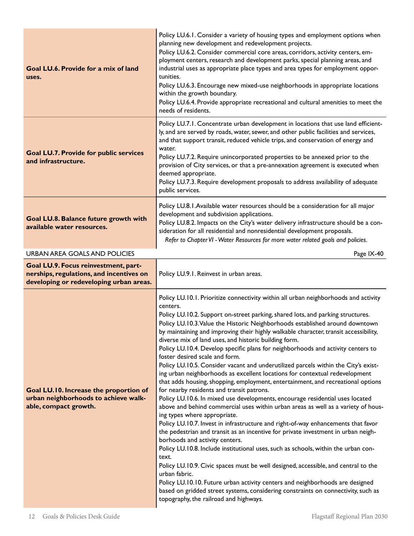| Goal LU.6. Provide for a mix of land<br>uses.                                                                               | Policy LU.6.1. Consider a variety of housing types and employment options when<br>planning new development and redevelopment projects.<br>Policy LU.6.2. Consider commercial core areas, corridors, activity centers, em-<br>ployment centers, research and development parks, special planning areas, and<br>industrial uses as appropriate place types and area types for employment oppor-<br>tunities.<br>Policy LU.6.3. Encourage new mixed-use neighborhoods in appropriate locations<br>within the growth boundary.<br>Policy LU.6.4. Provide appropriate recreational and cultural amenities to meet the<br>needs of residents.                                                                                                                                                                                                                                                                                                                                                                                                                                                                                                                                                                                                                                                                                                                                                                                                                                                                                                                                                                                                                                                 |
|-----------------------------------------------------------------------------------------------------------------------------|-----------------------------------------------------------------------------------------------------------------------------------------------------------------------------------------------------------------------------------------------------------------------------------------------------------------------------------------------------------------------------------------------------------------------------------------------------------------------------------------------------------------------------------------------------------------------------------------------------------------------------------------------------------------------------------------------------------------------------------------------------------------------------------------------------------------------------------------------------------------------------------------------------------------------------------------------------------------------------------------------------------------------------------------------------------------------------------------------------------------------------------------------------------------------------------------------------------------------------------------------------------------------------------------------------------------------------------------------------------------------------------------------------------------------------------------------------------------------------------------------------------------------------------------------------------------------------------------------------------------------------------------------------------------------------------------|
| <b>Goal LU.7. Provide for public services</b><br>and infrastructure.                                                        | Policy LU.7.1. Concentrate urban development in locations that use land efficient-<br>ly, and are served by roads, water, sewer, and other public facilities and services,<br>and that support transit, reduced vehicle trips, and conservation of energy and<br>water.<br>Policy LU.7.2. Require unincorporated properties to be annexed prior to the<br>provision of City services, or that a pre-annexation agreement is executed when<br>deemed appropriate.<br>Policy LU.7.3. Require development proposals to address availability of adequate<br>public services.                                                                                                                                                                                                                                                                                                                                                                                                                                                                                                                                                                                                                                                                                                                                                                                                                                                                                                                                                                                                                                                                                                                |
| Goal LU.8. Balance future growth with<br>available water resources.                                                         | Policy LU.8.1. Available water resources should be a consideration for all major<br>development and subdivision applications.<br>Policy LU.8.2. Impacts on the City's water delivery infrastructure should be a con-<br>sideration for all residential and nonresidential development proposals.<br>Refer to Chapter VI - Water Resources for more water related goals and policies.                                                                                                                                                                                                                                                                                                                                                                                                                                                                                                                                                                                                                                                                                                                                                                                                                                                                                                                                                                                                                                                                                                                                                                                                                                                                                                    |
| <b>URBAN AREA GOALS AND POLICIES</b>                                                                                        | Page IX-40                                                                                                                                                                                                                                                                                                                                                                                                                                                                                                                                                                                                                                                                                                                                                                                                                                                                                                                                                                                                                                                                                                                                                                                                                                                                                                                                                                                                                                                                                                                                                                                                                                                                              |
| Goal LU.9. Focus reinvestment, part-<br>nerships, regulations, and incentives on<br>developing or redeveloping urban areas. | Policy LU.9.1. Reinvest in urban areas.                                                                                                                                                                                                                                                                                                                                                                                                                                                                                                                                                                                                                                                                                                                                                                                                                                                                                                                                                                                                                                                                                                                                                                                                                                                                                                                                                                                                                                                                                                                                                                                                                                                 |
| Goal LU.10. Increase the proportion of<br>urban neighborhoods to achieve walk-<br>able, compact growth.                     | Policy LU.10.1. Prioritize connectivity within all urban neighborhoods and activity<br>centers.<br>Policy LU.10.2. Support on-street parking, shared lots, and parking structures.<br>Policy LU.10.3. Value the Historic Neighborhoods established around downtown<br>by maintaining and improving their highly walkable character, transit accessibility,<br>diverse mix of land uses, and historic building form.<br>Policy LU.10.4. Develop specific plans for neighborhoods and activity centers to<br>foster desired scale and form.<br>Policy LU.10.5. Consider vacant and underutilized parcels within the City's exist-<br>ing urban neighborhoods as excellent locations for contextual redevelopment<br>that adds housing, shopping, employment, entertainment, and recreational options<br>for nearby residents and transit patrons.<br>Policy LU.10.6. In mixed use developments, encourage residential uses located<br>above and behind commercial uses within urban areas as well as a variety of hous-<br>ing types where appropriate.<br>Policy LU.10.7. Invest in infrastructure and right-of-way enhancements that favor<br>the pedestrian and transit as an incentive for private investment in urban neigh-<br>borhoods and activity centers.<br>Policy LU.10.8. Include institutional uses, such as schools, within the urban con-<br>text.<br>Policy LU.10.9. Civic spaces must be well designed, accessible, and central to the<br>urban fabric.<br>Policy LU.10.10. Future urban activity centers and neighborhoods are designed<br>based on gridded street systems, considering constraints on connectivity, such as<br>topography, the railroad and highways. |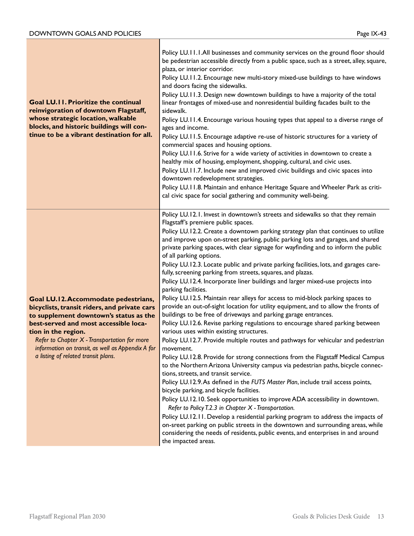| <b>Goal LU.II. Prioritize the continual</b><br>reinvigoration of downtown Flagstaff,<br>whose strategic location, walkable<br>blocks, and historic buildings will con-<br>tinue to be a vibrant destination for all.                                                                                                                       | Policy LU.11.1.All businesses and community services on the ground floor should<br>be pedestrian accessible directly from a public space, such as a street, alley, square,<br>plaza, or interior corridor.<br>Policy LU.11.2. Encourage new multi-story mixed-use buildings to have windows<br>and doors facing the sidewalks.<br>Policy LU.11.3. Design new downtown buildings to have a majority of the total<br>linear frontages of mixed-use and nonresidential building facades built to the<br>sidewalk.<br>Policy LU.11.4. Encourage various housing types that appeal to a diverse range of<br>ages and income.<br>Policy LU.11.5. Encourage adaptive re-use of historic structures for a variety of<br>commercial spaces and housing options.<br>Policy LU.11.6. Strive for a wide variety of activities in downtown to create a<br>healthy mix of housing, employment, shopping, cultural, and civic uses.<br>Policy LU.11.7. Include new and improved civic buildings and civic spaces into<br>downtown redevelopment strategies.<br>Policy LU.11.8. Maintain and enhance Heritage Square and Wheeler Park as criti-<br>cal civic space for social gathering and community well-being.                                                                                                                                                                                                                                                                                                                                                                                                                                                                                                                                                                                                                                                                                                                                    |
|--------------------------------------------------------------------------------------------------------------------------------------------------------------------------------------------------------------------------------------------------------------------------------------------------------------------------------------------|--------------------------------------------------------------------------------------------------------------------------------------------------------------------------------------------------------------------------------------------------------------------------------------------------------------------------------------------------------------------------------------------------------------------------------------------------------------------------------------------------------------------------------------------------------------------------------------------------------------------------------------------------------------------------------------------------------------------------------------------------------------------------------------------------------------------------------------------------------------------------------------------------------------------------------------------------------------------------------------------------------------------------------------------------------------------------------------------------------------------------------------------------------------------------------------------------------------------------------------------------------------------------------------------------------------------------------------------------------------------------------------------------------------------------------------------------------------------------------------------------------------------------------------------------------------------------------------------------------------------------------------------------------------------------------------------------------------------------------------------------------------------------------------------------------------------------------------------------------------------------------------------------------------------------------------|
| Goal LU.12. Accommodate pedestrians,<br>bicyclists, transit riders, and private cars<br>to supplement downtown's status as the<br>best-served and most accessible loca-<br>tion in the region.<br>Refer to Chapter X - Transportation for more<br>information on transit, as well as Appendix A for<br>a listing of related transit plans. | Policy LU.12.1. Invest in downtown's streets and sidewalks so that they remain<br>Flagstaff's premiere public spaces.<br>Policy LU.12.2. Create a downtown parking strategy plan that continues to utilize<br>and improve upon on-street parking, public parking lots and garages, and shared<br>private parking spaces, with clear signage for wayfinding and to inform the public<br>of all parking options.<br>Policy LU.12.3. Locate public and private parking facilities, lots, and garages care-<br>fully, screening parking from streets, squares, and plazas.<br>Policy LU.12.4. Incorporate liner buildings and larger mixed-use projects into<br>parking facilities.<br>Policy LU.12.5. Maintain rear alleys for access to mid-block parking spaces to<br>provide an out-of-sight location for utility equipment, and to allow the fronts of<br>buildings to be free of driveways and parking garage entrances.<br>Policy LU.12.6. Revise parking regulations to encourage shared parking between<br>various uses within existing structures.<br>Policy LU.12.7. Provide multiple routes and pathways for vehicular and pedestrian<br>movement.<br>Policy LU.12.8. Provide for strong connections from the Flagstaff Medical Campus<br>to the Northern Arizona University campus via pedestrian paths, bicycle connec-<br>tions, streets, and transit service.<br>Policy LU.12.9. As defined in the FUTS Master Plan, include trail access points,<br>bicycle parking, and bicycle facilities.<br>Policy LU.12.10. Seek opportunities to improve ADA accessibility in downtown.<br>Refer to Policy T.2.3 in Chapter X - Transportation.<br>Policy LU.12.11. Develop a residential parking program to address the impacts of<br>on-sreet parking on public streets in the downtown and surrounding areas, while<br>considering the needs of residents, public events, and enterprises in and around<br>the impacted areas. |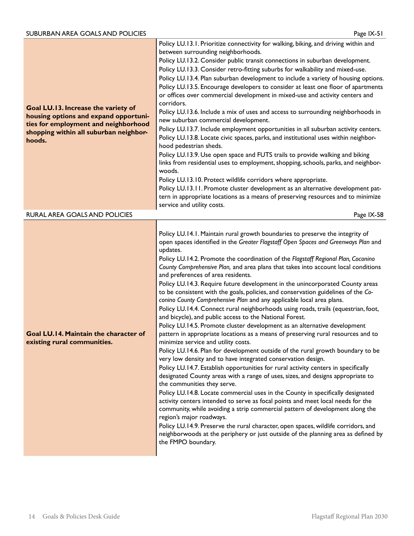| Goal LU.13. Increase the variety of<br>housing options and expand opportuni-<br>ties for employment and neighborhood<br>shopping within all suburban neighbor-<br>hoods. | Policy LU.13.1. Prioritize connectivity for walking, biking, and driving within and<br>between surrounding neighborhoods.<br>Policy LU.13.2. Consider public transit connections in suburban development.<br>Policy LU.13.3. Consider retro-fitting suburbs for walkability and mixed-use.<br>Policy LU.13.4. Plan suburban development to include a variety of housing options.<br>Policy LU.13.5. Encourage developers to consider at least one floor of apartments<br>or offices over commercial development in mixed-use and activity centers and<br>corridors.<br>Policy LU.13.6. Include a mix of uses and access to surrounding neighborhoods in<br>new suburban commercial development.<br>Policy LU.13.7. Include employment opportunities in all suburban activity centers.<br>Policy LU.13.8. Locate civic spaces, parks, and institutional uses within neighbor-<br>hood pedestrian sheds.<br>Policy LU.13.9. Use open space and FUTS trails to provide walking and biking<br>links from residential uses to employment, shopping, schools, parks, and neighbor-<br>woods.<br>Policy LU.13.10. Protect wildlife corridors where appropriate.<br>Policy LU.13.11. Promote cluster development as an alternative development pat-<br>tern in appropriate locations as a means of preserving resources and to minimize<br>service and utility costs.                                                                                                                                                                                                                                                                                                                                                                                                                                                                                           |
|--------------------------------------------------------------------------------------------------------------------------------------------------------------------------|---------------------------------------------------------------------------------------------------------------------------------------------------------------------------------------------------------------------------------------------------------------------------------------------------------------------------------------------------------------------------------------------------------------------------------------------------------------------------------------------------------------------------------------------------------------------------------------------------------------------------------------------------------------------------------------------------------------------------------------------------------------------------------------------------------------------------------------------------------------------------------------------------------------------------------------------------------------------------------------------------------------------------------------------------------------------------------------------------------------------------------------------------------------------------------------------------------------------------------------------------------------------------------------------------------------------------------------------------------------------------------------------------------------------------------------------------------------------------------------------------------------------------------------------------------------------------------------------------------------------------------------------------------------------------------------------------------------------------------------------------------------------------------------------------------------------------------------------------------|
| RURAL AREA GOALS AND POLICIES                                                                                                                                            | Page IX-58                                                                                                                                                                                                                                                                                                                                                                                                                                                                                                                                                                                                                                                                                                                                                                                                                                                                                                                                                                                                                                                                                                                                                                                                                                                                                                                                                                                                                                                                                                                                                                                                                                                                                                                                                                                                                                              |
| Goal LU.14. Maintain the character of<br>existing rural communities.                                                                                                     | Policy LU.14.1. Maintain rural growth boundaries to preserve the integrity of<br>open spaces identified in the Greater Flagstaff Open Spaces and Greenways Plan and<br>updates.<br>Policy LU.14.2. Promote the coordination of the Flagstaff Regional Plan, Coconino<br>County Comprehensive Plan, and area plans that takes into account local conditions<br>and preferences of area residents.<br>Policy LU.14.3. Require future development in the unincorporated County areas<br>to be consistent with the goals, policies, and conservation guidelines of the Co-<br>conino County Comprehensive Plan and any applicable local area plans.<br>Policy LU.14.4. Connect rural neighborhoods using roads, trails (equestrian, foot,<br>and bicycle), and public access to the National Forest.<br>Policy LU.14.5. Promote cluster development as an alternative development<br>pattern in appropriate locations as a means of preserving rural resources and to<br>minimize service and utility costs.<br>Policy LU.14.6. Plan for development outside of the rural growth boundary to be<br>very low density and to have integrated conservation design.<br>Policy LU.14.7. Establish opportunities for rural activity centers in specifically<br>designated County areas with a range of uses, sizes, and designs appropriate to<br>the communities they serve.<br>Policy LU.14.8. Locate commercial uses in the County in specifically designated<br>activity centers intended to serve as focal points and meet local needs for the<br>community, while avoiding a strip commercial pattern of development along the<br>region's major roadways.<br>Policy LU.14.9. Preserve the rural character, open spaces, wildlife corridors, and<br>neighborwoods at the periphery or just outside of the planning area as defined by<br>the FMPO boundary. |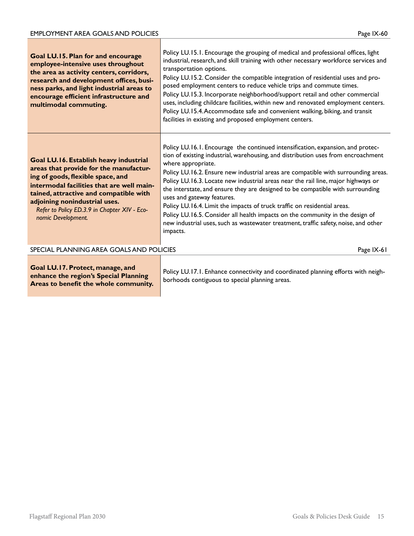| Goal LU.15. Plan for and encourage<br>employee-intensive uses throughout<br>the area as activity centers, corridors,<br>research and development offices, busi-<br>ness parks, and light industrial areas to<br>encourage efficient infrastructure and<br>multimodal commuting.                                     | Policy LU.15.1. Encourage the grouping of medical and professional offices, light<br>industrial, research, and skill training with other necessary workforce services and<br>transportation options.<br>Policy LU.15.2. Consider the compatible integration of residential uses and pro-<br>posed employment centers to reduce vehicle trips and commute times.<br>Policy LU.15.3. Incorporate neighborhood/support retail and other commercial<br>uses, including childcare facilities, within new and renovated employment centers.<br>Policy LU.15.4. Accommodate safe and convenient walking, biking, and transit<br>facilities in existing and proposed employment centers.                                                                      |
|---------------------------------------------------------------------------------------------------------------------------------------------------------------------------------------------------------------------------------------------------------------------------------------------------------------------|-------------------------------------------------------------------------------------------------------------------------------------------------------------------------------------------------------------------------------------------------------------------------------------------------------------------------------------------------------------------------------------------------------------------------------------------------------------------------------------------------------------------------------------------------------------------------------------------------------------------------------------------------------------------------------------------------------------------------------------------------------|
| Goal LU.16. Establish heavy industrial<br>areas that provide for the manufactur-<br>ing of goods, flexible space, and<br>intermodal facilities that are well main-<br>tained, attractive and compatible with<br>adjoining nonindustrial uses.<br>Refer to Policy ED.3.9 in Chapter XIV - Eco-<br>nomic Development. | Policy LU.16.1. Encourage the continued intensification, expansion, and protec-<br>tion of existing industrial, warehousing, and distribution uses from encroachment<br>where appropriate.<br>Policy LU.16.2. Ensure new industrial areas are compatible with surrounding areas.<br>Policy LU.16.3. Locate new industrial areas near the rail line, major highways or<br>the interstate, and ensure they are designed to be compatible with surrounding<br>uses and gateway features.<br>Policy LU.16.4. Limit the impacts of truck traffic on residential areas.<br>Policy LU.16.5. Consider all health impacts on the community in the design of<br>new industrial uses, such as wastewater treatment, traffic safety, noise, and other<br>impacts. |
| SPECIAL PLANNING AREA GOALS AND POLICIES                                                                                                                                                                                                                                                                            | Page IX-61                                                                                                                                                                                                                                                                                                                                                                                                                                                                                                                                                                                                                                                                                                                                            |
| Goal LU.17. Protect, manage, and                                                                                                                                                                                                                                                                                    | Policy IIII7 L Enhance connectivity and coordinated planning efforts with neigh-                                                                                                                                                                                                                                                                                                                                                                                                                                                                                                                                                                                                                                                                      |

**enhance the region's Special Planning Areas to benefit the whole community.**

Policy LU.17.1. Enhance connectivity and coordinated planning efforts with neighborhoods contiguous to special planning areas.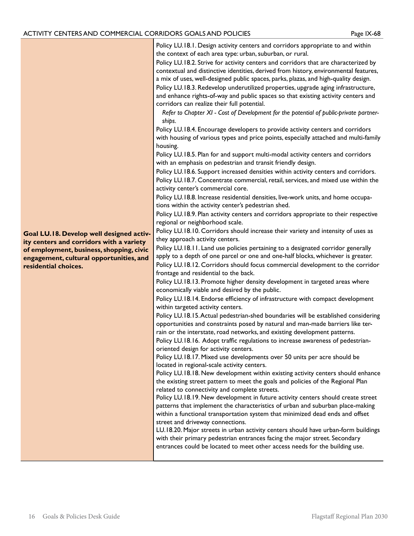Policy LU.18.1. Design activity centers and corridors appropriate to and within the context of each area type: urban, suburban, or rural.

Policy LU.18.2. Strive for activity centers and corridors that are characterized by contextual and distinctive identities, derived from history, environmental features, a mix of uses, well-designed public spaces, parks, plazas, and high-quality design. Policy LU.18.3. Redevelop underutilized properties, upgrade aging infrastructure, and enhance rights-of-way and public spaces so that existing activity centers and corridors can realize their full potential.

*Refer to Chapter XI - Cost of Development for the potential of public-private partnerships.*

Policy LU.18.4. Encourage developers to provide activity centers and corridors with housing of various types and price points, especially attached and multi-family housing.

Policy LU.18.5. Plan for and support multi-modal activity centers and corridors with an emphasis on pedestrian and transit friendly design.

Policy LU.18.6. Support increased densities within activity centers and corridors. Policy LU.18.7. Concentrate commercial, retail, services, and mixed use within the activity center's commercial core.

Policy LU.18.8. Increase residential densities, live-work units, and home occupations within the activity center's pedestrian shed.

Policy LU.18.9. Plan activity centers and corridors appropriate to their respective regional or neighborhood scale.

Policy LU.18.10. Corridors should increase their variety and intensity of uses as they approach activity centers.

Policy LU.18.11. Land use policies pertaining to a designated corridor generally apply to a depth of one parcel or one and one-half blocks, whichever is greater. Policy LU.18.12. Corridors should focus commercial development to the corridor frontage and residential to the back.

Policy LU.18.13. Promote higher density development in targeted areas where economically viable and desired by the public.

Policy LU.18.14. Endorse efficiency of infrastructure with compact development within targeted activity centers.

Policy LU.18.15. Actual pedestrian-shed boundaries will be established considering opportunities and constraints posed by natural and man-made barriers like terrain or the interstate, road networks, and existing development patterns.

Policy LU.18.16. Adopt traffic regulations to increase awareness of pedestrianoriented design for activity centers.

Policy LU.18.17. Mixed use developments over 50 units per acre should be located in regional-scale activity centers.

Policy LU.18.18. New development within existing activity centers should enhance the existing street pattern to meet the goals and policies of the Regional Plan related to connectivity and complete streets.

Policy LU.18.19. New development in future activity centers should create street patterns that implement the characteristics of urban and suburban place-making within a functional transportation system that minimized dead ends and offset street and driveway connections.

LU.18.20. Major streets in urban activity centers should have urban-form buildings with their primary pedestrian entrances facing the major street. Secondary entrances could be located to meet other access needs for the building use.

**Goal LU.18. Develop well designed activity centers and corridors with a variety of employment, business, shopping, civic engagement, cultural opportunities, and residential choices.**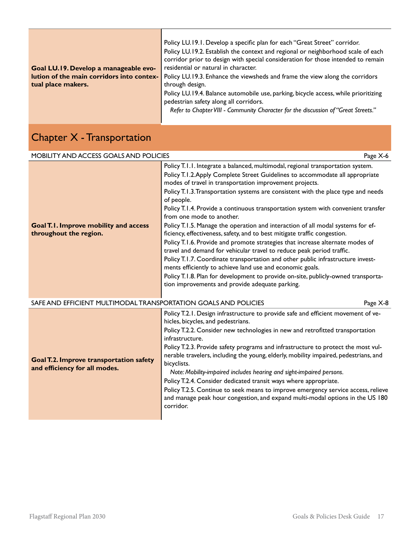|                                           | Policy LU.19.1. Develop a specific plan for each "Great Street" corridor.<br>Policy LU.19.2. Establish the context and regional or neighborhood scale of each |  |  |
|-------------------------------------------|---------------------------------------------------------------------------------------------------------------------------------------------------------------|--|--|
|                                           | corridor prior to design with special consideration for those intended to remain                                                                              |  |  |
| Goal LU.19. Develop a manageable evo-     | residential or natural in character.                                                                                                                          |  |  |
| lution of the main corridors into contex- | Policy LU.19.3. Enhance the viewsheds and frame the view along the corridors                                                                                  |  |  |
| tual place makers.                        | through design.                                                                                                                                               |  |  |
|                                           | Policy LU.19.4. Balance automobile use, parking, bicycle access, while prioritizing                                                                           |  |  |
|                                           | pedestrian safety along all corridors.                                                                                                                        |  |  |
|                                           | Refer to Chapter VIII - Community Character for the discussion of "Great Streets."                                                                            |  |  |
|                                           |                                                                                                                                                               |  |  |

## Chapter X - Transportation

| <b>MOBILITY AND ACCESS GOALS AND POLICIES</b>                                   | Page X-6                                                                                                                                                                                                                                                                                                                                                                                                                                                                                                                                                                                                                                                                                                                                                                                                                                                                                                                                                                                                                                                           |
|---------------------------------------------------------------------------------|--------------------------------------------------------------------------------------------------------------------------------------------------------------------------------------------------------------------------------------------------------------------------------------------------------------------------------------------------------------------------------------------------------------------------------------------------------------------------------------------------------------------------------------------------------------------------------------------------------------------------------------------------------------------------------------------------------------------------------------------------------------------------------------------------------------------------------------------------------------------------------------------------------------------------------------------------------------------------------------------------------------------------------------------------------------------|
| <b>Goal T.I. Improve mobility and access</b><br>throughout the region.          | Policy T.I.I. Integrate a balanced, multimodal, regional transportation system.<br>Policy T.I.2. Apply Complete Street Guidelines to accommodate all appropriate<br>modes of travel in transportation improvement projects.<br>Policy T.1.3. Transportation systems are consistent with the place type and needs<br>of people.<br>Policy T.I.4. Provide a continuous transportation system with convenient transfer<br>from one mode to another.<br>Policy T.1.5. Manage the operation and interaction of all modal systems for ef-<br>ficiency, effectiveness, safety, and to best mitigate traffic congestion.<br>Policy T.1.6. Provide and promote strategies that increase alternate modes of<br>travel and demand for vehicular travel to reduce peak period traffic.<br>Policy T.1.7. Coordinate transportation and other public infrastructure invest-<br>ments efficiently to achieve land use and economic goals.<br>Policy T.1.8. Plan for development to provide on-site, publicly-owned transporta-<br>tion improvements and provide adequate parking. |
| SAFE AND EFFICIENT MULTIMODAL TRANSPORTATION GOALS AND POLICIES                 | Page X-8                                                                                                                                                                                                                                                                                                                                                                                                                                                                                                                                                                                                                                                                                                                                                                                                                                                                                                                                                                                                                                                           |
| <b>Goal T.2. Improve transportation safety</b><br>and efficiency for all modes. | Policy T.2.1. Design infrastructure to provide safe and efficient movement of ve-<br>hicles, bicycles, and pedestrians.<br>Policy T.2.2. Consider new technologies in new and retrofitted transportation<br>infrastructure.<br>Policy T.2.3. Provide safety programs and infrastructure to protect the most vul-<br>nerable travelers, including the young, elderly, mobility impaired, pedestrians, and<br>bicyclists.<br>Note: Mobility-impaired includes hearing and sight-impaired persons.<br>Policy T.2.4. Consider dedicated transit ways where appropriate.<br>Policy T.2.5. Continue to seek means to improve emergency service access, relieve<br>and manage peak hour congestion, and expand multi-modal options in the US 180<br>corridor.                                                                                                                                                                                                                                                                                                             |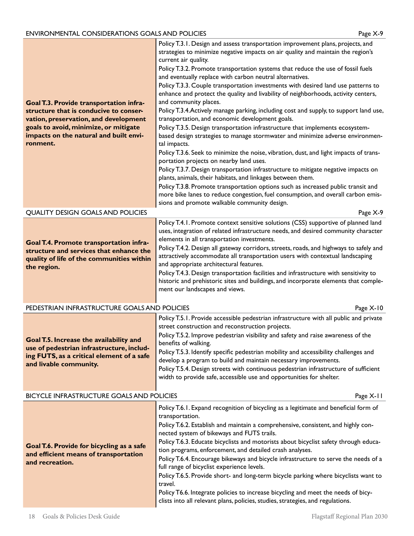| Goal T.3. Provide transportation infra-<br>structure that is conducive to conser-<br>vation, preservation, and development<br>goals to avoid, minimize, or mitigate<br>impacts on the natural and built envi-<br>ronment. | Policy T.3.1. Design and assess transportation improvement plans, projects, and<br>strategies to minimize negative impacts on air quality and maintain the region's<br>current air quality.<br>Policy T.3.2. Promote transportation systems that reduce the use of fossil fuels<br>and eventually replace with carbon neutral alternatives.<br>Policy T.3.3. Couple transportation investments with desired land use patterns to<br>enhance and protect the quality and livability of neighborhoods, activity centers,<br>and community places.<br>Policy T.3.4. Actively manage parking, including cost and supply, to support land use,<br>transportation, and economic development goals.<br>Policy T.3.5. Design transportation infrastructure that implements ecosystem-<br>based design strategies to manage stormwater and minimize adverse environmen-<br>tal impacts.<br>Policy T.3.6. Seek to minimize the noise, vibration, dust, and light impacts of trans-<br>portation projects on nearby land uses.<br>Policy T.3.7. Design transportation infrastructure to mitigate negative impacts on<br>plants, animals, their habitats, and linkages between them.<br>Policy T.3.8. Promote transportation options such as increased public transit and<br>more bike lanes to reduce congestion, fuel consumption, and overall carbon emis-<br>sions and promote walkable community design. |
|---------------------------------------------------------------------------------------------------------------------------------------------------------------------------------------------------------------------------|---------------------------------------------------------------------------------------------------------------------------------------------------------------------------------------------------------------------------------------------------------------------------------------------------------------------------------------------------------------------------------------------------------------------------------------------------------------------------------------------------------------------------------------------------------------------------------------------------------------------------------------------------------------------------------------------------------------------------------------------------------------------------------------------------------------------------------------------------------------------------------------------------------------------------------------------------------------------------------------------------------------------------------------------------------------------------------------------------------------------------------------------------------------------------------------------------------------------------------------------------------------------------------------------------------------------------------------------------------------------------------------------------|
| <b>QUALITY DESIGN GOALS AND POLICIES</b>                                                                                                                                                                                  |                                                                                                                                                                                                                                                                                                                                                                                                                                                                                                                                                                                                                                                                                                                                                                                                                                                                                                                                                                                                                                                                                                                                                                                                                                                                                                                                                                                                   |
| Goal T.4. Promote transportation infra-<br>structure and services that enhance the<br>quality of life of the communities within<br>the region.                                                                            | Policy T.4.1. Promote context sensitive solutions (CSS) supportive of planned land<br>uses, integration of related infrastructure needs, and desired community character<br>elements in all transportation investments.<br>Policy T.4.2. Design all gateway corridors, streets, roads, and highways to safely and<br>attractively accommodate all transportation users with contextual landscaping<br>and appropriate architectural features.<br>Policy T.4.3. Design transportation facilities and infrastructure with sensitivity to<br>historic and prehistoric sites and buildings, and incorporate elements that comple-<br>ment our landscapes and views.                                                                                                                                                                                                                                                                                                                                                                                                                                                                                                                                                                                                                                                                                                                                   |
| PEDESTRIAN INFRASTRUCTURE GOALS AND POLICIES                                                                                                                                                                              | Page X-10                                                                                                                                                                                                                                                                                                                                                                                                                                                                                                                                                                                                                                                                                                                                                                                                                                                                                                                                                                                                                                                                                                                                                                                                                                                                                                                                                                                         |
| Goal T.5. Increase the availability and<br>use of pedestrian infrastructure, includ-<br>ing FUTS, as a critical element of a safe<br>and livable community.                                                               | Policy T.5.1. Provide accessible pedestrian infrastructure with all public and private<br>street construction and reconstruction projects.<br>Policy T.5.2. Improve pedestrian visibility and safety and raise awareness of the<br>benefits of walking.<br>Policy T.5.3. Identify specific pedestrian mobility and accessibility challenges and<br>develop a program to build and maintain necessary improvements.<br>Policy T.5.4. Design streets with continuous pedestrian infrastructure of sufficient<br>width to provide safe, accessible use and opportunities for shelter.                                                                                                                                                                                                                                                                                                                                                                                                                                                                                                                                                                                                                                                                                                                                                                                                                |
| BICYCLE INFRASTRUCTURE GOALS AND POLICIES                                                                                                                                                                                 | Page X-11                                                                                                                                                                                                                                                                                                                                                                                                                                                                                                                                                                                                                                                                                                                                                                                                                                                                                                                                                                                                                                                                                                                                                                                                                                                                                                                                                                                         |
| Goal T.6. Provide for bicycling as a safe<br>and efficient means of transportation<br>and recreation.                                                                                                                     | Policy T.6.1. Expand recognition of bicycling as a legitimate and beneficial form of<br>transportation.<br>Policy T.6.2. Establish and maintain a comprehensive, consistent, and highly con-<br>nected system of bikeways and FUTS trails.<br>Policy T.6.3. Educate bicyclists and motorists about bicyclist safety through educa-<br>tion programs, enforcement, and detailed crash analyses.<br>Policy T.6.4. Encourage bikeways and bicycle infrastructure to serve the needs of a<br>full range of bicyclist experience levels.<br>Policy T.6.5. Provide short- and long-term bicycle parking where bicyclists want to<br>travel.<br>Policy T6.6. Integrate policies to increase bicycling and meet the needs of bicy-<br>clists into all relevant plans, policies, studies, strategies, and regulations.                                                                                                                                                                                                                                                                                                                                                                                                                                                                                                                                                                                     |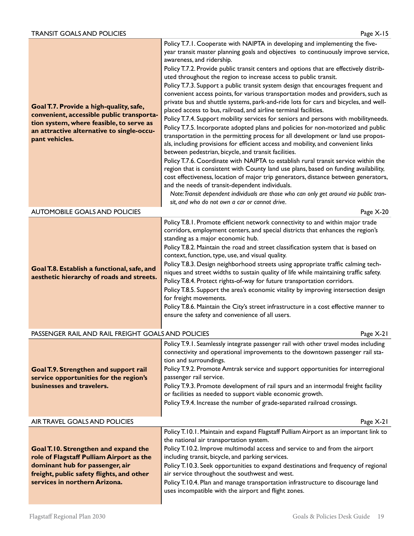| Goal T.7. Provide a high-quality, safe,<br>convenient, accessible public transporta-<br>tion system, where feasible, to serve as<br>an attractive alternative to single-occu-<br>pant vehicles.   | Policy T.7.1. Cooperate with NAIPTA in developing and implementing the five-<br>year transit master planning goals and objectives to continuously improve service,<br>awareness, and ridership.<br>Policy T.7.2. Provide public transit centers and options that are effectively distrib-<br>uted throughout the region to increase access to public transit.<br>Policy T.7.3. Support a public transit system design that encourages frequent and<br>convenient access points, for various transportation modes and providers, such as<br>private bus and shuttle systems, park-and-ride lots for cars and bicycles, and well-<br>placed access to bus, railroad, and airline terminal facilities.<br>Policy T.7.4. Support mobility services for seniors and persons with mobilityneeds.<br>Policy T.7.5. Incorporate adopted plans and policies for non-motorized and public<br>transportation in the permitting process for all development or land use propos-<br>als, including provisions for efficient access and mobility, and convenient links<br>between pedestrian, bicycle, and transit facilities.<br>Policy T.7.6. Coordinate with NAIPTA to establish rural transit service within the<br>region that is consistent with County land use plans, based on funding availability,<br>cost effectiveness, location of major trip generators, distance between generators,<br>and the needs of transit-dependent individuals.<br>Note: Transit dependent individuals are those who can only get around via public tran-<br>sit, and who do not own a car or cannot drive. |  |
|---------------------------------------------------------------------------------------------------------------------------------------------------------------------------------------------------|--------------------------------------------------------------------------------------------------------------------------------------------------------------------------------------------------------------------------------------------------------------------------------------------------------------------------------------------------------------------------------------------------------------------------------------------------------------------------------------------------------------------------------------------------------------------------------------------------------------------------------------------------------------------------------------------------------------------------------------------------------------------------------------------------------------------------------------------------------------------------------------------------------------------------------------------------------------------------------------------------------------------------------------------------------------------------------------------------------------------------------------------------------------------------------------------------------------------------------------------------------------------------------------------------------------------------------------------------------------------------------------------------------------------------------------------------------------------------------------------------------------------------------------------------------------------------------------|--|
| <b>AUTOMOBILE GOALS AND POLICIES</b><br>Page X-20                                                                                                                                                 |                                                                                                                                                                                                                                                                                                                                                                                                                                                                                                                                                                                                                                                                                                                                                                                                                                                                                                                                                                                                                                                                                                                                                                                                                                                                                                                                                                                                                                                                                                                                                                                      |  |
| Goal T.8. Establish a functional, safe, and<br>aesthetic hierarchy of roads and streets.                                                                                                          | Policy T.8.1. Promote efficient network connectivity to and within major trade<br>corridors, employment centers, and special districts that enhances the region's<br>standing as a major economic hub.<br>Policy T.8.2. Maintain the road and street classification system that is based on<br>context, function, type, use, and visual quality.<br>Policy T.8.3. Design neighborhood streets using appropriate traffic calming tech-<br>niques and street widths to sustain quality of life while maintaining traffic safety.<br>Policy T.8.4. Protect rights-of-way for future transportation corridors.<br>Policy T.8.5. Support the area's economic vitality by improving intersection design<br>for freight movements.<br>Policy T.8.6. Maintain the City's street infrastructure in a cost effective manner to<br>ensure the safety and convenience of all users.                                                                                                                                                                                                                                                                                                                                                                                                                                                                                                                                                                                                                                                                                                              |  |
| PASSENGER RAIL AND RAIL FREIGHT GOALS AND POLICIES                                                                                                                                                | Page X-21                                                                                                                                                                                                                                                                                                                                                                                                                                                                                                                                                                                                                                                                                                                                                                                                                                                                                                                                                                                                                                                                                                                                                                                                                                                                                                                                                                                                                                                                                                                                                                            |  |
| Goal T.9. Strengthen and support rail<br>service opportunities for the region's<br>businesses and travelers.                                                                                      | Policy T.9.1. Seamlessly integrate passenger rail with other travel modes including<br>connectivity and operational improvements to the downtown passenger rail sta-<br>tion and surroundings.<br>Policy T.9.2. Promote Amtrak service and support opportunities for interregional<br>passenger rail service.<br>Policy T.9.3. Promote development of rail spurs and an intermodal freight facility<br>or facilities as needed to support viable economic growth.<br>Policy T.9.4. Increase the number of grade-separated railroad crossings.                                                                                                                                                                                                                                                                                                                                                                                                                                                                                                                                                                                                                                                                                                                                                                                                                                                                                                                                                                                                                                        |  |
| AIR TRAVEL GOALS AND POLICIES                                                                                                                                                                     | Page $X-21$                                                                                                                                                                                                                                                                                                                                                                                                                                                                                                                                                                                                                                                                                                                                                                                                                                                                                                                                                                                                                                                                                                                                                                                                                                                                                                                                                                                                                                                                                                                                                                          |  |
| Goal T.10. Strengthen and expand the<br>role of Flagstaff Pulliam Airport as the<br>dominant hub for passenger, air<br>freight, public safety flights, and other<br>services in northern Arizona. | Policy T.10.1. Maintain and expand Flagstaff Pulliam Airport as an important link to<br>the national air transportation system.<br>Policy T.10.2. Improve multimodal access and service to and from the airport<br>including transit, bicycle, and parking services.<br>Policy T.10.3. Seek opportunities to expand destinations and frequency of regional<br>air service throughout the southwest and west.<br>Policy T.10.4. Plan and manage transportation infrastructure to discourage land<br>uses incompatible with the airport and flight zones.                                                                                                                                                                                                                                                                                                                                                                                                                                                                                                                                                                                                                                                                                                                                                                                                                                                                                                                                                                                                                              |  |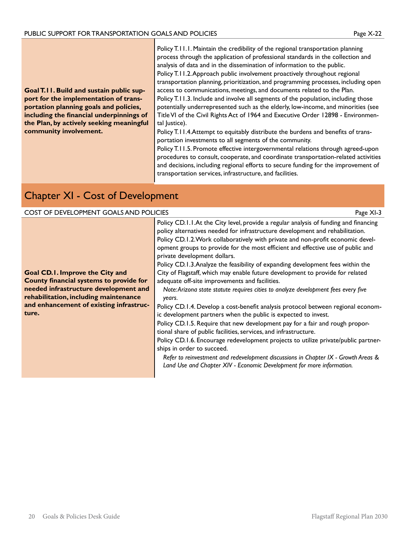**Goal T.11. Build and sustain public support for the implementation of transportation planning goals and policies, including the financial underpinnings of the Plan, by actively seeking meaningful community involvement.**

Policy T.11.1. Maintain the credibility of the regional transportation planning process through the application of professional standards in the collection and analysis of data and in the dissemination of information to the public.

Policy T.11.2. Approach public involvement proactively throughout regional transportation planning, prioritization, and programming processes, including open access to communications, meetings, and documents related to the Plan.

Policy T.11.3. Include and involve all segments of the population, including those potentially underrepresented such as the elderly, low-income, and minorities (see Title VI of the Civil Rights Act of 1964 and Executive Order 12898 - Environmental Justice).

Policy T.11.4.Attempt to equitably distribute the burdens and benefits of transportation investments to all segments of the community.

Policy T.11.5. Promote effective intergovernmental relations through agreed-upon procedures to consult, cooperate, and coordinate transportation-related activities and decisions, including regional efforts to secure funding for the improvement of transportation services, infrastructure, and facilities.

### Chapter XI - Cost of Development

#### COST OF DEVELOPMENT GOALS AND POLICIES Page XI-3

**Goal CD.1. Improve the City and County financial systems to provide for needed infrastructure development and rehabilitation, including maintenance and enhancement of existing infrastructure.**

Policy CD.1.1.At the City level, provide a regular analysis of funding and financing policy alternatives needed for infrastructure development and rehabilitation. Policy CD.1.2.Work collaboratively with private and non-profit economic development groups to provide for the most efficient and effective use of public and private development dollars.

Policy CD.1.3.Analyze the feasibility of expanding development fees within the City of Flagstaff, which may enable future development to provide for related adequate off-site improvements and facilities.

*Note: Arizona state statute requires cities to analyze development fees every five years.*

Policy CD.1.4. Develop a cost-benefit analysis protocol between regional economic development partners when the public is expected to invest.

Policy CD.1.5. Require that new development pay for a fair and rough proportional share of public facilities, services, and infrastructure.

Policy CD.1.6. Encourage redevelopment projects to utilize private/public partnerships in order to succeed.

*Refer to reinvestment and redevelopment discussions in Chapter IX - Growth Areas & Land Use and Chapter XIV - Economic Development for more information.*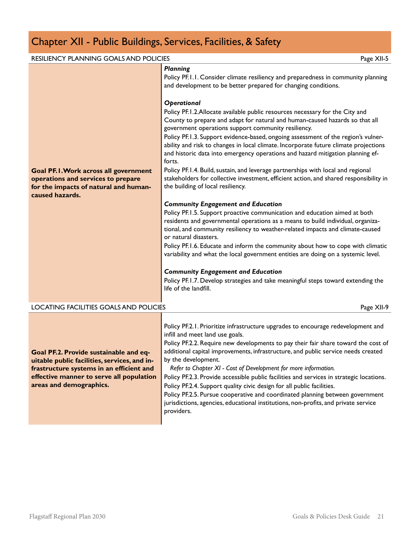## Chapter XII - Public Buildings, Services, Facilities, & Safety

| <b>RESILIENCY PLANNING GOALS AND POLICIES</b>                                                                                                                                                             | Page XII-5                                                                                                                                                                                                                                                                                                                                                                                                                                                                                                                                                                                                                                                                                                                                                                                                                                                                                                                                                                                                                                                                                                                                                                                                                                                                                                                                                                                                                                                                                                                                   |
|-----------------------------------------------------------------------------------------------------------------------------------------------------------------------------------------------------------|----------------------------------------------------------------------------------------------------------------------------------------------------------------------------------------------------------------------------------------------------------------------------------------------------------------------------------------------------------------------------------------------------------------------------------------------------------------------------------------------------------------------------------------------------------------------------------------------------------------------------------------------------------------------------------------------------------------------------------------------------------------------------------------------------------------------------------------------------------------------------------------------------------------------------------------------------------------------------------------------------------------------------------------------------------------------------------------------------------------------------------------------------------------------------------------------------------------------------------------------------------------------------------------------------------------------------------------------------------------------------------------------------------------------------------------------------------------------------------------------------------------------------------------------|
| <b>Goal PF.I. Work across all government</b><br>operations and services to prepare<br>for the impacts of natural and human-<br>caused hazards.                                                            | <b>Planning</b><br>Policy PF.I.I. Consider climate resiliency and preparedness in community planning<br>and development to be better prepared for changing conditions.<br>Operational<br>Policy PF. I.2. Allocate available public resources necessary for the City and<br>County to prepare and adapt for natural and human-caused hazards so that all<br>government operations support community resiliency.<br>Policy PF.1.3. Support evidence-based, ongoing assessment of the region's vulner-<br>ability and risk to changes in local climate. Incorporate future climate projections<br>and historic data into emergency operations and hazard mitigation planning ef-<br>forts.<br>Policy PF.1.4. Build, sustain, and leverage partnerships with local and regional<br>stakeholders for collective investment, efficient action, and shared responsibility in<br>the building of local resiliency.<br><b>Community Engagement and Education</b><br>Policy PF.1.5. Support proactive communication and education aimed at both<br>residents and governmental operations as a means to build individual, organiza-<br>tional, and community resiliency to weather-related impacts and climate-caused<br>or natural disasters.<br>Policy PF.1.6. Educate and inform the community about how to cope with climatic<br>variability and what the local government entities are doing on a systemic level.<br><b>Community Engagement and Education</b><br>Policy PF.1.7. Develop strategies and take meaningful steps toward extending the |
| LOCATING FACILITIES GOALS AND POLICIES                                                                                                                                                                    | Page XII-9                                                                                                                                                                                                                                                                                                                                                                                                                                                                                                                                                                                                                                                                                                                                                                                                                                                                                                                                                                                                                                                                                                                                                                                                                                                                                                                                                                                                                                                                                                                                   |
|                                                                                                                                                                                                           |                                                                                                                                                                                                                                                                                                                                                                                                                                                                                                                                                                                                                                                                                                                                                                                                                                                                                                                                                                                                                                                                                                                                                                                                                                                                                                                                                                                                                                                                                                                                              |
| Goal PF.2. Provide sustainable and eq-<br>uitable public facilities, services, and in-<br>frastructure systems in an efficient and<br>effective manner to serve all population<br>areas and demographics. | Policy PF.2.1. Prioritize infrastructure upgrades to encourage redevelopment and<br>infill and meet land use goals.<br>Policy PF.2.2. Require new developments to pay their fair share toward the cost of<br>additional capital improvements, infrastructure, and public service needs created<br>by the development.<br>Refer to Chapter XI - Cost of Development for more information.<br>Policy PF.2.3. Provide accessible public facilities and services in strategic locations.<br>Policy PF.2.4. Support quality civic design for all public facilities.<br>Policy PF.2.5. Pursue cooperative and coordinated planning between government<br>jurisdictions, agencies, educational institutions, non-profits, and private service<br>providers.                                                                                                                                                                                                                                                                                                                                                                                                                                                                                                                                                                                                                                                                                                                                                                                         |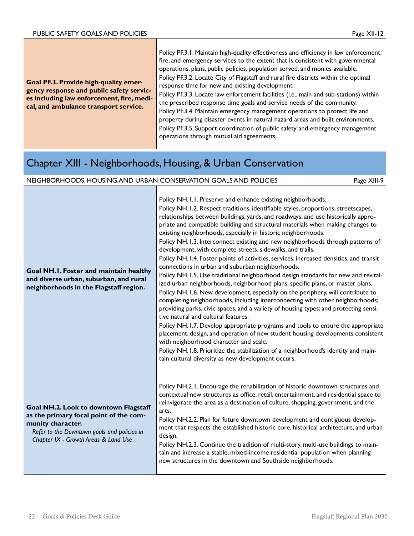|                                                                                                                                                                         | Policy PF.3.1. Maintain high-quality effectiveness and efficiency in law enforcement, |
|-------------------------------------------------------------------------------------------------------------------------------------------------------------------------|---------------------------------------------------------------------------------------|
| Goal PF.3. Provide high-quality emer-<br>gency response and public safety servic-<br>es including law enforcement, fire, medi-<br>cal, and ambulance transport service. | fire, and emergency services to the extent that is consistent with governmental       |
|                                                                                                                                                                         | operations, plans, public policies, population served, and monies available.          |
|                                                                                                                                                                         | Policy PF.3.2. Locate City of Flagstaff and rural fire districts within the optimal   |
|                                                                                                                                                                         | response time for new and existing development.                                       |
|                                                                                                                                                                         | Policy PF.3.3. Locate law enforcement facilities (i.e., main and sub-stations) within |
|                                                                                                                                                                         | the prescribed response time goals and service needs of the community.                |
|                                                                                                                                                                         | Policy PF.3.4. Maintain emergency management operations to protect life and           |
|                                                                                                                                                                         | property during disaster events in natural hazard areas and built environments.       |
|                                                                                                                                                                         | Policy PF.3.5. Support coordination of public safety and emergency management         |
|                                                                                                                                                                         | operations through mutual aid agreements.                                             |

### Chapter XIII - Neighborhoods, Housing, & Urban Conservation

| NEIGHBORHOODS, HOUSING, AND URBAN CONSERVATION GOALS AND POLICIES                                                                                                                           |                                                                                                                                                                                                                                                                                                                                                                                                                                                                                                                                                                                                                                                                                                                                                                                                                                                                                                                                                                                                                                                                                                                                                                                                                                                                                                                                                                                                                                                                                                                               | Page XIII-9 |
|---------------------------------------------------------------------------------------------------------------------------------------------------------------------------------------------|-------------------------------------------------------------------------------------------------------------------------------------------------------------------------------------------------------------------------------------------------------------------------------------------------------------------------------------------------------------------------------------------------------------------------------------------------------------------------------------------------------------------------------------------------------------------------------------------------------------------------------------------------------------------------------------------------------------------------------------------------------------------------------------------------------------------------------------------------------------------------------------------------------------------------------------------------------------------------------------------------------------------------------------------------------------------------------------------------------------------------------------------------------------------------------------------------------------------------------------------------------------------------------------------------------------------------------------------------------------------------------------------------------------------------------------------------------------------------------------------------------------------------------|-------------|
| Goal NH.I. Foster and maintain healthy<br>and diverse urban, suburban, and rural<br>neighborhoods in the Flagstaff region.                                                                  | Policy NH.I.I. Preserve and enhance existing neighborhoods.<br>Policy NH.1.2. Respect traditions, identifiable styles, proportions, streetscapes,<br>relationships between buildings, yards, and roadways; and use historically appro-<br>priate and compatible building and structural materials when making changes to<br>existing neighborhoods, especially in historic neighborhoods.<br>Policy NH.1.3. Interconnect existing and new neighborhoods through patterns of<br>development, with complete streets, sidewalks, and trails.<br>Policy NH.1.4. Foster points of activities, services, increased densities, and transit<br>connections in urban and suburban neighborhoods.<br>Policy NH.1.5. Use traditional neighborhood design standards for new and revital-<br>ized urban neighborhoods, neighborhood plans, specific plans, or master plans.<br>Policy NH.1.6. New development, especially on the periphery, will contribute to<br>completing neighborhoods, including interconnecting with other neighborhoods;<br>providing parks, civic spaces, and a variety of housing types; and protecting sensi-<br>tive natural and cultural features.<br>Policy NH.1.7. Develop appropriate programs and tools to ensure the appropriate<br>placement, design, and operation of new student housing developments consistent<br>with neighborhood character and scale.<br>Policy NH.1.8. Prioritize the stabilization of a neighborhood's identity and main-<br>tain cultural diversity as new development occurs. |             |
| Goal NH.2. Look to downtown Flagstaff<br>as the primary focal point of the com-<br>munity character.<br>Refer to the Downtown goals and policies in<br>Chapter IX - Growth Areas & Land Use | Policy NH.2.1. Encourage the rehabilitation of historic downtown structures and<br>contextual new structures as office, retail, entertainment, and residential space to<br>reinvigorate the area as a destination of culture, shopping, government, and the<br>arts.<br>Policy NH.2.2. Plan for future downtown development and contiguous develop-<br>ment that respects the established historic core, historical architecture, and urban<br>design.<br>Policy NH.2.3. Continue the tradition of multi-story, multi-use buildings to main-<br>tain and increase a stable, mixed-income residential population when planning<br>new structures in the downtown and Southside neighborhoods.                                                                                                                                                                                                                                                                                                                                                                                                                                                                                                                                                                                                                                                                                                                                                                                                                                  |             |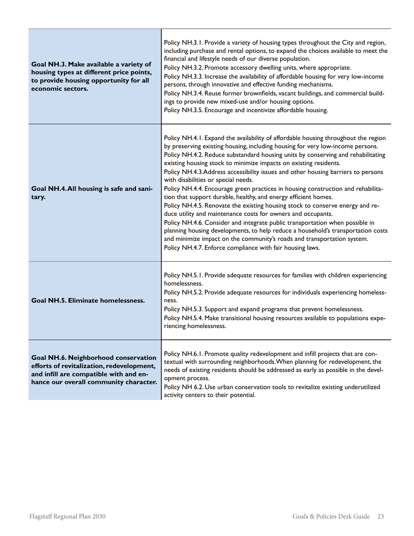| Goal NH.3. Make available a variety of<br>housing types at different price points,<br>to provide housing opportunity for all<br>economic sectors.                     | Policy NH.3.1. Provide a variety of housing types throughout the City and region,<br>including purchase and rental options, to expand the choices available to meet the<br>financial and lifestyle needs of our diverse population.<br>Policy NH.3.2. Promote accessory dwelling units, where appropriate.<br>Policy NH.3.3. Increase the availability of affordable housing for very low-income<br>persons, through innovative and effective funding mechanisms.<br>Policy NH.3.4. Reuse former brownfields, vacant buildings, and commercial build-<br>ings to provide new mixed-use and/or housing options.<br>Policy NH.3.5. Encourage and incentivize affordable housing.                                                                                                                                                                                                                                                                                                                                                                                               |
|-----------------------------------------------------------------------------------------------------------------------------------------------------------------------|------------------------------------------------------------------------------------------------------------------------------------------------------------------------------------------------------------------------------------------------------------------------------------------------------------------------------------------------------------------------------------------------------------------------------------------------------------------------------------------------------------------------------------------------------------------------------------------------------------------------------------------------------------------------------------------------------------------------------------------------------------------------------------------------------------------------------------------------------------------------------------------------------------------------------------------------------------------------------------------------------------------------------------------------------------------------------|
| Goal NH.4. All housing is safe and sani-<br>tary.                                                                                                                     | Policy NH.4.1. Expand the availability of affordable housing throughout the region<br>by preserving existing housing, including housing for very low-income persons.<br>Policy NH.4.2. Reduce substandard housing units by conserving and rehabilitating<br>existing housing stock to minimize impacts on existing residents.<br>Policy NH.4.3.Address accessibility issues and other housing barriers to persons<br>with disabilities or special needs.<br>Policy NH.4.4. Encourage green practices in housing construction and rehabilita-<br>tion that support durable, healthy, and energy efficient homes.<br>Policy NH.4.5. Renovate the existing housing stock to conserve energy and re-<br>duce utility and maintenance costs for owners and occupants.<br>Policy NH.4.6. Consider and integrate public transportation when possible in<br>planning housing developments, to help reduce a household's transportation costs<br>and minimize impact on the community's roads and transportation system.<br>Policy NH.4.7. Enforce compliance with fair housing laws. |
| <b>Goal NH.5. Eliminate homelessness.</b>                                                                                                                             | Policy NH.5.1. Provide adequate resources for families with children experiencing<br>homelessness.<br>Policy NH.5.2. Provide adequate resources for individuals experiencing homeless-<br>ness.<br>Policy NH.5.3. Support and expand programs that prevent homelessness.<br>Policy NH.5.4. Make transitional housing resources available to populations expe-<br>riencing homelessness.                                                                                                                                                                                                                                                                                                                                                                                                                                                                                                                                                                                                                                                                                      |
| Goal NH.6. Neighborhood conservation<br>efforts of revitalization, redevelopment,<br>and infill are compatible with and en-<br>hance our overall community character. | Policy NH.6.1. Promote quality redevelopment and infill projects that are con-<br>textual with surrounding neighborhoods. When planning for redevelopment, the<br>needs of existing residents should be addressed as early as possible in the devel-<br>opment process.<br>Policy NH 6.2. Use urban conservation tools to revitalize existing underutilized<br>activity centers to their potential.                                                                                                                                                                                                                                                                                                                                                                                                                                                                                                                                                                                                                                                                          |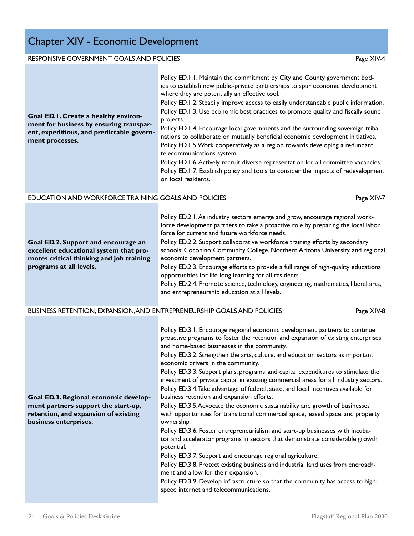## Chapter XIV - Economic Development

| RESPONSIVE GOVERNMENT GOALS AND POLICIES                                                                                                             | Page XIV-4                                                                                                                                                                                                                                                                                                                                                                                                                                                                                                                                                                                                                                                                                                                                                                                                                                                                                                                                                                                                                                                                                                                                                                                                                                                                                                                                      |
|------------------------------------------------------------------------------------------------------------------------------------------------------|-------------------------------------------------------------------------------------------------------------------------------------------------------------------------------------------------------------------------------------------------------------------------------------------------------------------------------------------------------------------------------------------------------------------------------------------------------------------------------------------------------------------------------------------------------------------------------------------------------------------------------------------------------------------------------------------------------------------------------------------------------------------------------------------------------------------------------------------------------------------------------------------------------------------------------------------------------------------------------------------------------------------------------------------------------------------------------------------------------------------------------------------------------------------------------------------------------------------------------------------------------------------------------------------------------------------------------------------------|
| Goal ED.I. Create a healthy environ-<br>ment for business by ensuring transpar-<br>ent, expeditious, and predictable govern-<br>ment processes.      | Policy ED.1.1. Maintain the commitment by City and County government bod-<br>ies to establish new public-private partnerships to spur economic development<br>where they are potentially an effective tool.<br>Policy ED.1.2. Steadily improve access to easily understandable public information.<br>Policy ED.1.3. Use economic best practices to promote quality and fiscally sound<br>projects.<br>Policy ED.1.4. Encourage local governments and the surrounding sovereign tribal<br>nations to collaborate on mutually beneficial economic development initiatives.<br>Policy ED.1.5. Work cooperatively as a region towards developing a redundant<br>telecommunications system.<br>Policy ED.1.6. Actively recruit diverse representation for all committee vacancies.<br>Policy ED.1.7. Establish policy and tools to consider the impacts of redevelopment<br>on local residents.                                                                                                                                                                                                                                                                                                                                                                                                                                                     |
| EDUCATION AND WORKFORCE TRAINING GOALS AND POLICIES                                                                                                  | Page XIV-7                                                                                                                                                                                                                                                                                                                                                                                                                                                                                                                                                                                                                                                                                                                                                                                                                                                                                                                                                                                                                                                                                                                                                                                                                                                                                                                                      |
| Goal ED.2. Support and encourage an<br>excellent educational system that pro-<br>motes critical thinking and job training<br>programs at all levels. | Policy ED.2.1. As industry sectors emerge and grow, encourage regional work-<br>force development partners to take a proactive role by preparing the local labor<br>force for current and future workforce needs.<br>Policy ED.2.2. Support collaborative workforce training efforts by secondary<br>schools, Coconino Community College, Northern Arizona University, and regional<br>economic development partners.<br>Policy ED.2.3. Encourage efforts to provide a full range of high-quality educational<br>opportunities for life-long learning for all residents.<br>Policy ED.2.4. Promote science, technology, engineering, mathematics, liberal arts,<br>and entrepreneurship education at all levels.                                                                                                                                                                                                                                                                                                                                                                                                                                                                                                                                                                                                                                |
| BUSINESS RETENTION, EXPANSION, AND ENTREPRENEURSHIP GOALS AND POLICIES                                                                               | Page XIV-8                                                                                                                                                                                                                                                                                                                                                                                                                                                                                                                                                                                                                                                                                                                                                                                                                                                                                                                                                                                                                                                                                                                                                                                                                                                                                                                                      |
| Goal ED.3. Regional economic develop-<br>ment partners support the start-up,<br>retention, and expansion of existing<br>business enterprises.        | Policy ED.3.1. Encourage regional economic development partners to continue<br>proactive programs to foster the retention and expansion of existing enterprises<br>and home-based businesses in the community.<br>Policy ED.3.2. Strengthen the arts, culture, and education sectors as important<br>economic drivers in the community.<br>Policy ED.3.3. Support plans, programs, and capital expenditures to stimulate the<br>investment of private capital in existing commercial areas for all industry sectors.<br>Policy ED.3.4. Take advantage of federal, state, and local incentives available for<br>business retention and expansion efforts.<br>Policy ED.3.5. Advocate the economic sustainability and growth of businesses<br>with opportunities for transitional commercial space, leased space, and property<br>ownership.<br>Policy ED.3.6. Foster entrepreneurialism and start-up businesses with incuba-<br>tor and accelerator programs in sectors that demonstrate considerable growth<br>potential.<br>Policy ED.3.7. Support and encourage regional agriculture.<br>Policy ED.3.8. Protect existing business and industrial land uses from encroach-<br>ment and allow for their expansion.<br>Policy ED.3.9. Develop infrastructure so that the community has access to high-<br>speed internet and telecommunications. |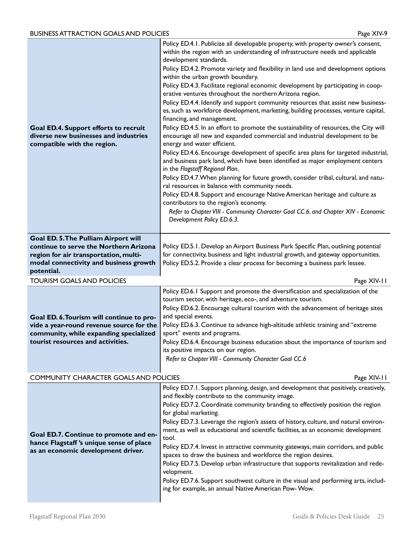| Goal ED.4. Support efforts to recruit<br>diverse new businesses and industries<br>compatible with the region. | Policy ED.4.1. Publicize all developable property, with property owner's consent,<br>within the region with an understanding of infrastructure needs and applicable<br>development standards.<br>Policy ED.4.2. Promote variety and flexibility in land use and development options<br>within the urban growth boundary.<br>Policy ED.4.3. Facilitate regional economic development by participating in coop-<br>erative ventures throughout the northern Arizona region.<br>Policy ED.4.4. Identify and support community resources that assist new business-<br>es, such as workforce development, marketing, building processes, venture capital,<br>financing, and management.<br>Policy ED.4.5. In an effort to promote the sustainability of resources, the City will<br>encourage all new and expanded commercial and industrial development to be<br>energy and water efficient.<br>Policy ED.4.6. Encourage development of specific area plans for targeted industrial,<br>and business park land, which have been identified as major employment centers<br>in the Flagstaff Regional Plan.<br>Policy ED.4.7. When planning for future growth, consider tribal, cultural, and natu-<br>ral resources in balance with community needs.<br>Policy ED.4.8. Support and encourage Native American heritage and culture as<br>contributors to the region's economy.<br>Refer to Chapter VIII - Community Character Goal CC.6. and Chapter XIV - Economic<br>Development Policy ED.6.3. |
|---------------------------------------------------------------------------------------------------------------|---------------------------------------------------------------------------------------------------------------------------------------------------------------------------------------------------------------------------------------------------------------------------------------------------------------------------------------------------------------------------------------------------------------------------------------------------------------------------------------------------------------------------------------------------------------------------------------------------------------------------------------------------------------------------------------------------------------------------------------------------------------------------------------------------------------------------------------------------------------------------------------------------------------------------------------------------------------------------------------------------------------------------------------------------------------------------------------------------------------------------------------------------------------------------------------------------------------------------------------------------------------------------------------------------------------------------------------------------------------------------------------------------------------------------------------------------------------------------------------------|
| Goal ED. 5. The Pulliam Airport will<br>continue to serve the Northern Arizona                                | Policy ED.5.1. Develop an Airport Business Park Specific Plan, outlining potential                                                                                                                                                                                                                                                                                                                                                                                                                                                                                                                                                                                                                                                                                                                                                                                                                                                                                                                                                                                                                                                                                                                                                                                                                                                                                                                                                                                                          |
| region for air transportation, multi-<br>modal connectivity and business growth                               | for connectivity, business and light industrial growth, and gateway opportunities.<br>Policy ED.5.2. Provide a clear process for becoming a business park lessee.                                                                                                                                                                                                                                                                                                                                                                                                                                                                                                                                                                                                                                                                                                                                                                                                                                                                                                                                                                                                                                                                                                                                                                                                                                                                                                                           |
| potential.<br><b>TOURISM GOALS AND POLICIES</b>                                                               | Page XIV-11                                                                                                                                                                                                                                                                                                                                                                                                                                                                                                                                                                                                                                                                                                                                                                                                                                                                                                                                                                                                                                                                                                                                                                                                                                                                                                                                                                                                                                                                                 |
|                                                                                                               | Policy ED.6.1 Support and promote the diversification and specialization of the                                                                                                                                                                                                                                                                                                                                                                                                                                                                                                                                                                                                                                                                                                                                                                                                                                                                                                                                                                                                                                                                                                                                                                                                                                                                                                                                                                                                             |
|                                                                                                               |                                                                                                                                                                                                                                                                                                                                                                                                                                                                                                                                                                                                                                                                                                                                                                                                                                                                                                                                                                                                                                                                                                                                                                                                                                                                                                                                                                                                                                                                                             |
|                                                                                                               | tourism sector, with heritage, eco-, and adventure tourism.<br>Policy ED.6.2. Encourage cultural tourism with the advancement of heritage sites                                                                                                                                                                                                                                                                                                                                                                                                                                                                                                                                                                                                                                                                                                                                                                                                                                                                                                                                                                                                                                                                                                                                                                                                                                                                                                                                             |
| Goal ED. 6. Tourism will continue to pro-<br>vide a year-round revenue source for the                         | and special events.<br>Policy ED.6.3. Continue to advance high-altitude athletic training and "extreme                                                                                                                                                                                                                                                                                                                                                                                                                                                                                                                                                                                                                                                                                                                                                                                                                                                                                                                                                                                                                                                                                                                                                                                                                                                                                                                                                                                      |
| community, while expanding specialized<br>tourist resources and activities.                                   | sport" events and programs.                                                                                                                                                                                                                                                                                                                                                                                                                                                                                                                                                                                                                                                                                                                                                                                                                                                                                                                                                                                                                                                                                                                                                                                                                                                                                                                                                                                                                                                                 |
|                                                                                                               | Policy ED.6.4. Encourage business education about the importance of tourism and<br>its positive impacts on our region.                                                                                                                                                                                                                                                                                                                                                                                                                                                                                                                                                                                                                                                                                                                                                                                                                                                                                                                                                                                                                                                                                                                                                                                                                                                                                                                                                                      |
|                                                                                                               | Refer to Chapter VIII - Community Character Goal CC.6                                                                                                                                                                                                                                                                                                                                                                                                                                                                                                                                                                                                                                                                                                                                                                                                                                                                                                                                                                                                                                                                                                                                                                                                                                                                                                                                                                                                                                       |
| COMMUNITY CHARACTER GOALS AND POLICIES                                                                        | Page XIV-11                                                                                                                                                                                                                                                                                                                                                                                                                                                                                                                                                                                                                                                                                                                                                                                                                                                                                                                                                                                                                                                                                                                                                                                                                                                                                                                                                                                                                                                                                 |
|                                                                                                               | Policy ED.7.1. Support planning, design, and development that positively, creatively,<br>and flexibly contribute to the community image.                                                                                                                                                                                                                                                                                                                                                                                                                                                                                                                                                                                                                                                                                                                                                                                                                                                                                                                                                                                                                                                                                                                                                                                                                                                                                                                                                    |
|                                                                                                               | Policy ED.7.2. Coordinate community branding to effectively position the region<br>for global marketing.                                                                                                                                                                                                                                                                                                                                                                                                                                                                                                                                                                                                                                                                                                                                                                                                                                                                                                                                                                                                                                                                                                                                                                                                                                                                                                                                                                                    |
|                                                                                                               | Policy ED.7.3. Leverage the region's assets of history, culture, and natural environ-                                                                                                                                                                                                                                                                                                                                                                                                                                                                                                                                                                                                                                                                                                                                                                                                                                                                                                                                                                                                                                                                                                                                                                                                                                                                                                                                                                                                       |
| Goal ED.7. Continue to promote and en-<br>hance Flagstaff's unique sense of place                             | ment, as well as educational and scientific facilities, as an economic development<br>tool.                                                                                                                                                                                                                                                                                                                                                                                                                                                                                                                                                                                                                                                                                                                                                                                                                                                                                                                                                                                                                                                                                                                                                                                                                                                                                                                                                                                                 |
| as an economic development driver.                                                                            | Policy ED.7.4. Invest in attractive community gateways, main corridors, and public<br>spaces to draw the business and workforce the region desires.                                                                                                                                                                                                                                                                                                                                                                                                                                                                                                                                                                                                                                                                                                                                                                                                                                                                                                                                                                                                                                                                                                                                                                                                                                                                                                                                         |
|                                                                                                               | Policy ED.7.5. Develop urban infrastructure that supports revitalization and rede-<br>velopment.                                                                                                                                                                                                                                                                                                                                                                                                                                                                                                                                                                                                                                                                                                                                                                                                                                                                                                                                                                                                                                                                                                                                                                                                                                                                                                                                                                                            |
|                                                                                                               | Policy ED.7.6. Support southwest culture in the visual and performing arts, includ-<br>ing for example, an annual Native American Pow-Wow.                                                                                                                                                                                                                                                                                                                                                                                                                                                                                                                                                                                                                                                                                                                                                                                                                                                                                                                                                                                                                                                                                                                                                                                                                                                                                                                                                  |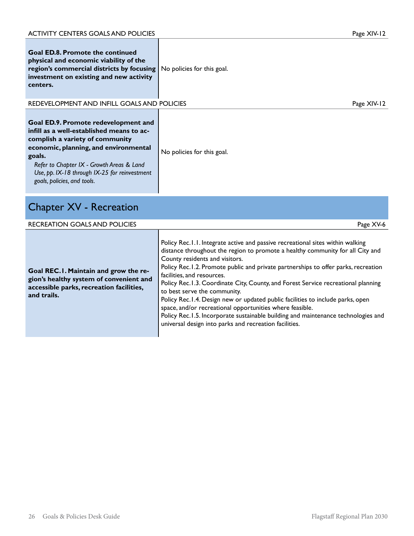| <b>Goal ED.8. Promote the continued</b><br>physical and economic viability of the<br>region's commercial districts by focusing<br>investment on existing and new activity<br>centers.                                                                                                                       | No policies for this goal. |             |
|-------------------------------------------------------------------------------------------------------------------------------------------------------------------------------------------------------------------------------------------------------------------------------------------------------------|----------------------------|-------------|
| REDEVELOPMENT AND INFILL GOALS AND POLICIES                                                                                                                                                                                                                                                                 |                            | Page XIV-12 |
| <b>Goal ED.9. Promote redevelopment and</b><br>infill as a well-established means to ac-<br>complish a variety of community<br>economic, planning, and environmental<br>goals.<br>Refer to Chapter IX - Growth Areas & Land<br>Use, pp. IX-18 through IX-25 for reinvestment<br>goals, policies, and tools. | No policies for this goal. |             |

## Chapter XV - Recreation

| <b>RECREATION GOALS AND POLICIES</b>                                                                                                        | Page XV-6                                                                                                                                                                                                                                                                                                                                                                                                                                                                                                                                                                                                                                                                                                                                 |
|---------------------------------------------------------------------------------------------------------------------------------------------|-------------------------------------------------------------------------------------------------------------------------------------------------------------------------------------------------------------------------------------------------------------------------------------------------------------------------------------------------------------------------------------------------------------------------------------------------------------------------------------------------------------------------------------------------------------------------------------------------------------------------------------------------------------------------------------------------------------------------------------------|
| Goal REC.1. Maintain and grow the re-<br>gion's healthy system of convenient and<br>accessible parks, recreation facilities,<br>and trails. | Policy Rec.1.1. Integrate active and passive recreational sites within walking<br>distance throughout the region to promote a healthy community for all City and<br>County residents and visitors.<br>Policy Rec.1.2. Promote public and private partnerships to offer parks, recreation<br>facilities, and resources.<br>Policy Rec. I.3. Coordinate City, County, and Forest Service recreational planning<br>to best serve the community.<br>Policy Rec.1.4. Design new or updated public facilities to include parks, open<br>space, and/or recreational opportunities where feasible.<br>Policy Rec.1.5. Incorporate sustainable building and maintenance technologies and<br>universal design into parks and recreation facilities. |